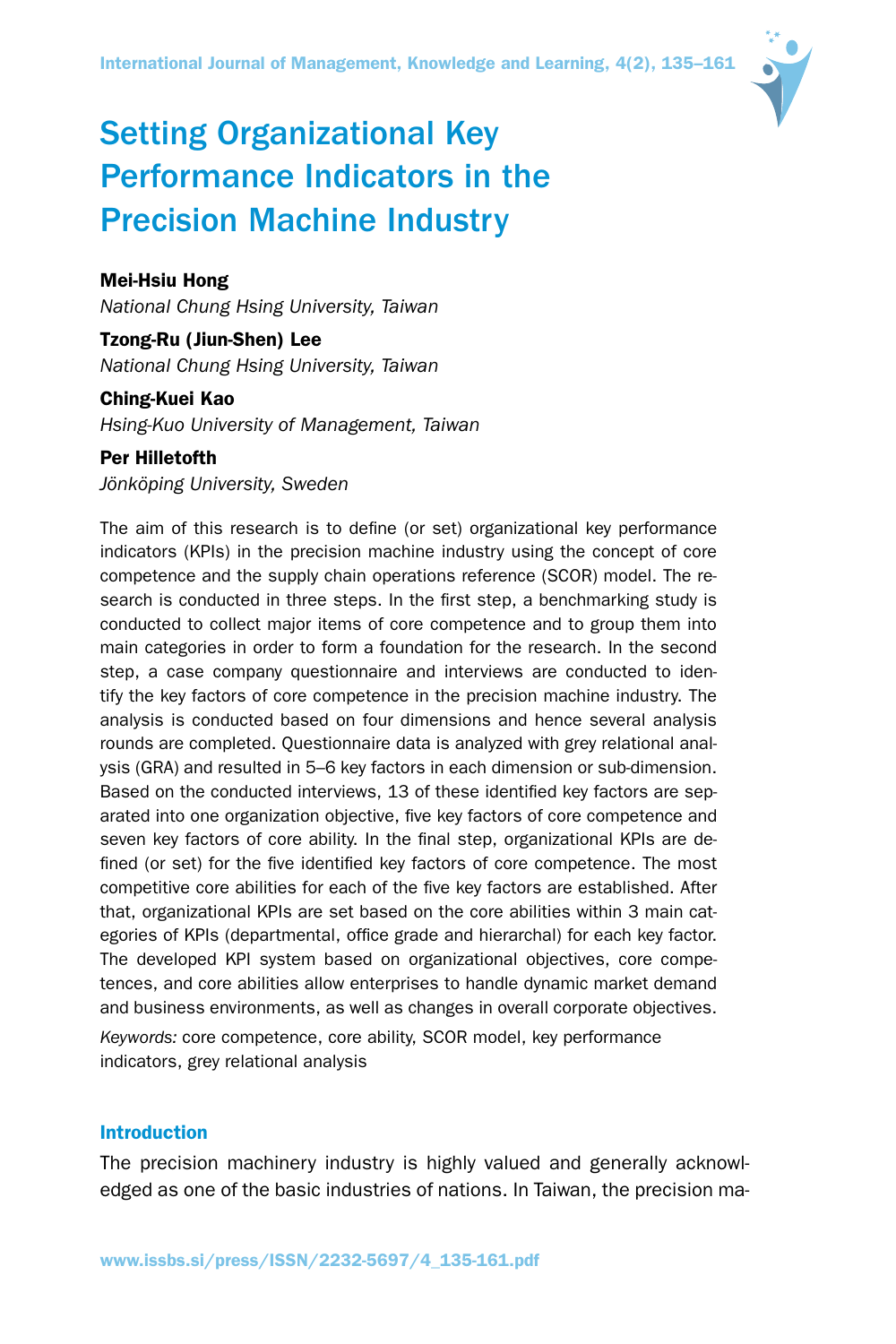

# Setting Organizational Key Performance Indicators in the Precision Machine Industry

# Mei-Hsiu Hong

*National Chung Hsing University, Taiwan*

# Tzong-Ru (Jiun-Shen) Lee *National Chung Hsing University, Taiwan*

# Ching-Kuei Kao

*Hsing-Kuo University of Management, Taiwan*

# Per Hilletofth

*Jönköping University, Sweden*

The aim of this research is to define (or set) organizational key performance indicators (KPIs) in the precision machine industry using the concept of core competence and the supply chain operations reference (SCOR) model. The research is conducted in three steps. In the first step, a benchmarking study is conducted to collect major items of core competence and to group them into main categories in order to form a foundation for the research. In the second step, a case company questionnaire and interviews are conducted to identify the key factors of core competence in the precision machine industry. The analysis is conducted based on four dimensions and hence several analysis rounds are completed. Questionnaire data is analyzed with grey relational analysis (GRA) and resulted in 5–6 key factors in each dimension or sub-dimension. Based on the conducted interviews, 13 of these identified key factors are separated into one organization objective, five key factors of core competence and seven key factors of core ability. In the final step, organizational KPIs are defined (or set) for the five identified key factors of core competence. The most competitive core abilities for each of the five key factors are established. After that, organizational KPIs are set based on the core abilities within 3 main categories of KPIs (departmental, office grade and hierarchal) for each key factor. The developed KPI system based on organizational objectives, core competences, and core abilities allow enterprises to handle dynamic market demand and business environments, as well as changes in overall corporate objectives. *Keywords:* core competence, core ability, SCOR model, key performance indicators, grey relational analysis

# Introduction

The precision machinery industry is highly valued and generally acknowledged as one of the basic industries of nations. In Taiwan, the precision ma-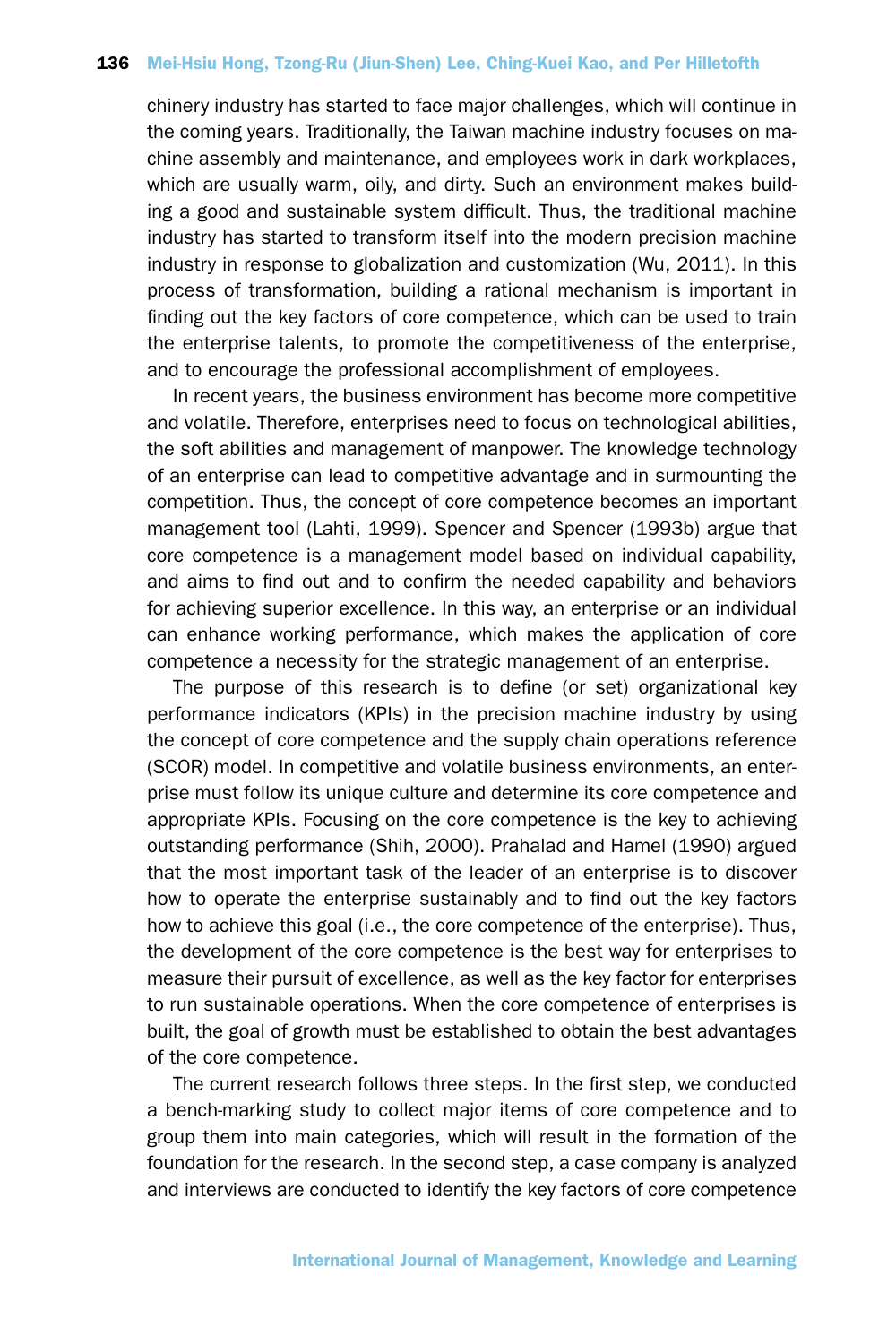chinery industry has started to face major challenges, which will continue in the coming years. Traditionally, the Taiwan machine industry focuses on machine assembly and maintenance, and employees work in dark workplaces, which are usually warm, oily, and dirty. Such an environment makes building a good and sustainable system difficult. Thus, the traditional machine industry has started to transform itself into the modern precision machine industry in response to globalization and customization (Wu, 2011). In this process of transformation, building a rational mechanism is important in finding out the key factors of core competence, which can be used to train the enterprise talents, to promote the competitiveness of the enterprise, and to encourage the professional accomplishment of employees.

In recent years, the business environment has become more competitive and volatile. Therefore, enterprises need to focus on technological abilities, the soft abilities and management of manpower. The knowledge technology of an enterprise can lead to competitive advantage and in surmounting the competition. Thus, the concept of core competence becomes an important management tool (Lahti, 1999). Spencer and Spencer (1993b) argue that core competence is a management model based on individual capability, and aims to find out and to confirm the needed capability and behaviors for achieving superior excellence. In this way, an enterprise or an individual can enhance working performance, which makes the application of core competence a necessity for the strategic management of an enterprise.

The purpose of this research is to define (or set) organizational key performance indicators (KPIs) in the precision machine industry by using the concept of core competence and the supply chain operations reference (SCOR) model. In competitive and volatile business environments, an enterprise must follow its unique culture and determine its core competence and appropriate KPIs. Focusing on the core competence is the key to achieving outstanding performance (Shih, 2000). Prahalad and Hamel (1990) argued that the most important task of the leader of an enterprise is to discover how to operate the enterprise sustainably and to find out the key factors how to achieve this goal (i.e., the core competence of the enterprise). Thus, the development of the core competence is the best way for enterprises to measure their pursuit of excellence, as well as the key factor for enterprises to run sustainable operations. When the core competence of enterprises is built, the goal of growth must be established to obtain the best advantages of the core competence.

The current research follows three steps. In the first step, we conducted a bench-marking study to collect major items of core competence and to group them into main categories, which will result in the formation of the foundation for the research. In the second step, a case company is analyzed and interviews are conducted to identify the key factors of core competence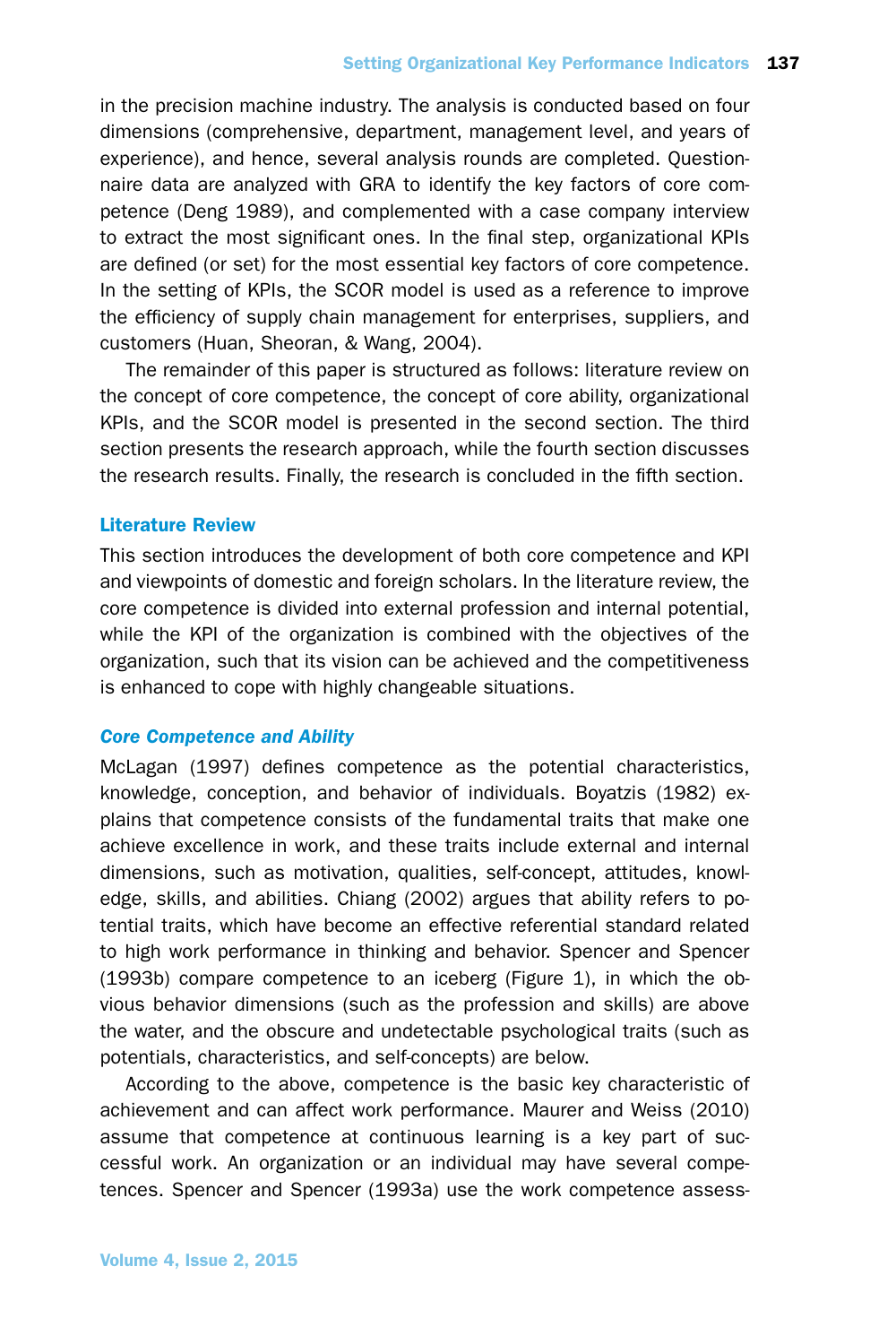in the precision machine industry. The analysis is conducted based on four dimensions (comprehensive, department, management level, and years of experience), and hence, several analysis rounds are completed. Questionnaire data are analyzed with GRA to identify the key factors of core competence (Deng 1989), and complemented with a case company interview to extract the most significant ones. In the final step, organizational KPIs are defined (or set) for the most essential key factors of core competence. In the setting of KPIs, the SCOR model is used as a reference to improve the efficiency of supply chain management for enterprises, suppliers, and customers (Huan, Sheoran, & Wang, 2004).

The remainder of this paper is structured as follows: literature review on the concept of core competence, the concept of core ability, organizational KPIs, and the SCOR model is presented in the second section. The third section presents the research approach, while the fourth section discusses the research results. Finally, the research is concluded in the fifth section.

# Literature Review

This section introduces the development of both core competence and KPI and viewpoints of domestic and foreign scholars. In the literature review, the core competence is divided into external profession and internal potential, while the KPI of the organization is combined with the objectives of the organization, such that its vision can be achieved and the competitiveness is enhanced to cope with highly changeable situations.

# *Core Competence and Ability*

McLagan (1997) defines competence as the potential characteristics, knowledge, conception, and behavior of individuals. Boyatzis (1982) explains that competence consists of the fundamental traits that make one achieve excellence in work, and these traits include external and internal dimensions, such as motivation, qualities, self-concept, attitudes, knowledge, skills, and abilities. Chiang (2002) argues that ability refers to potential traits, which have become an effective referential standard related to high work performance in thinking and behavior. Spencer and Spencer (1993b) compare competence to an iceberg (Figure 1), in which the obvious behavior dimensions (such as the profession and skills) are above the water, and the obscure and undetectable psychological traits (such as potentials, characteristics, and self-concepts) are below.

According to the above, competence is the basic key characteristic of achievement and can affect work performance. Maurer and Weiss (2010) assume that competence at continuous learning is a key part of successful work. An organization or an individual may have several competences. Spencer and Spencer (1993a) use the work competence assess-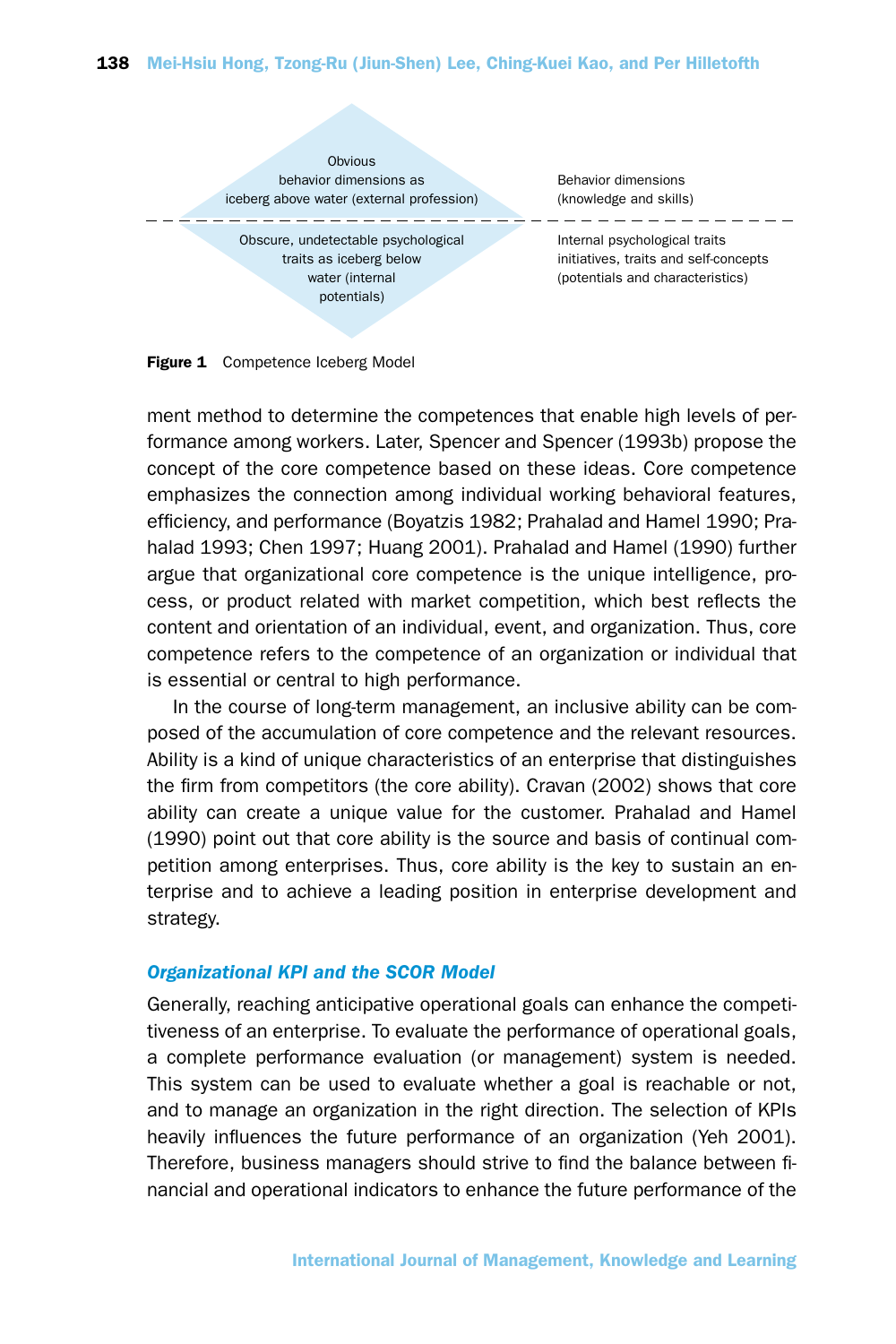

Figure 1 Competence Iceberg Model

ment method to determine the competences that enable high levels of performance among workers. Later, Spencer and Spencer (1993b) propose the concept of the core competence based on these ideas. Core competence emphasizes the connection among individual working behavioral features, efficiency, and performance (Boyatzis 1982; Prahalad and Hamel 1990; Prahalad 1993; Chen 1997; Huang 2001). Prahalad and Hamel (1990) further argue that organizational core competence is the unique intelligence, process, or product related with market competition, which best reflects the content and orientation of an individual, event, and organization. Thus, core competence refers to the competence of an organization or individual that is essential or central to high performance.

In the course of long-term management, an inclusive ability can be composed of the accumulation of core competence and the relevant resources. Ability is a kind of unique characteristics of an enterprise that distinguishes the firm from competitors (the core ability). Cravan (2002) shows that core ability can create a unique value for the customer. Prahalad and Hamel (1990) point out that core ability is the source and basis of continual competition among enterprises. Thus, core ability is the key to sustain an enterprise and to achieve a leading position in enterprise development and strategy.

#### *Organizational KPI and the SCOR Model*

Generally, reaching anticipative operational goals can enhance the competitiveness of an enterprise. To evaluate the performance of operational goals, a complete performance evaluation (or management) system is needed. This system can be used to evaluate whether a goal is reachable or not, and to manage an organization in the right direction. The selection of KPIs heavily influences the future performance of an organization (Yeh 2001). Therefore, business managers should strive to find the balance between financial and operational indicators to enhance the future performance of the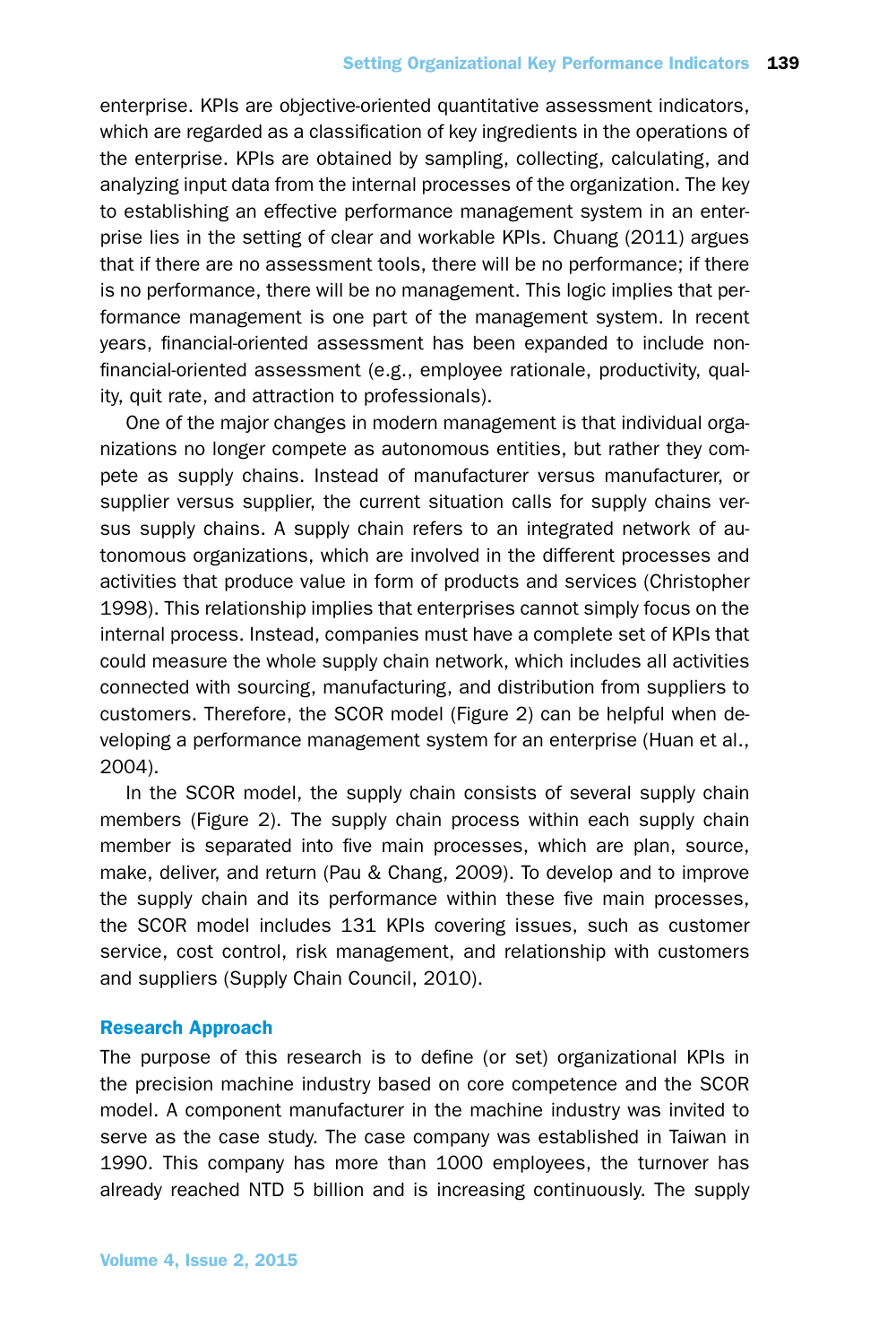enterprise. KPIs are objective-oriented quantitative assessment indicators, which are regarded as a classification of key ingredients in the operations of the enterprise. KPIs are obtained by sampling, collecting, calculating, and analyzing input data from the internal processes of the organization. The key to establishing an effective performance management system in an enterprise lies in the setting of clear and workable KPIs. Chuang (2011) argues that if there are no assessment tools, there will be no performance; if there is no performance, there will be no management. This logic implies that performance management is one part of the management system. In recent years, financial-oriented assessment has been expanded to include nonfinancial-oriented assessment (e.g., employee rationale, productivity, quality, quit rate, and attraction to professionals).

One of the major changes in modern management is that individual organizations no longer compete as autonomous entities, but rather they compete as supply chains. Instead of manufacturer versus manufacturer, or supplier versus supplier, the current situation calls for supply chains versus supply chains. A supply chain refers to an integrated network of autonomous organizations, which are involved in the different processes and activities that produce value in form of products and services (Christopher 1998). This relationship implies that enterprises cannot simply focus on the internal process. Instead, companies must have a complete set of KPIs that could measure the whole supply chain network, which includes all activities connected with sourcing, manufacturing, and distribution from suppliers to customers. Therefore, the SCOR model (Figure 2) can be helpful when developing a performance management system for an enterprise (Huan et al., 2004).

In the SCOR model, the supply chain consists of several supply chain members (Figure 2). The supply chain process within each supply chain member is separated into five main processes, which are plan, source, make, deliver, and return (Pau & Chang, 2009). To develop and to improve the supply chain and its performance within these five main processes, the SCOR model includes 131 KPIs covering issues, such as customer service, cost control, risk management, and relationship with customers and suppliers (Supply Chain Council, 2010).

# Research Approach

The purpose of this research is to define (or set) organizational KPIs in the precision machine industry based on core competence and the SCOR model. A component manufacturer in the machine industry was invited to serve as the case study. The case company was established in Taiwan in 1990. This company has more than 1000 employees, the turnover has already reached NTD 5 billion and is increasing continuously. The supply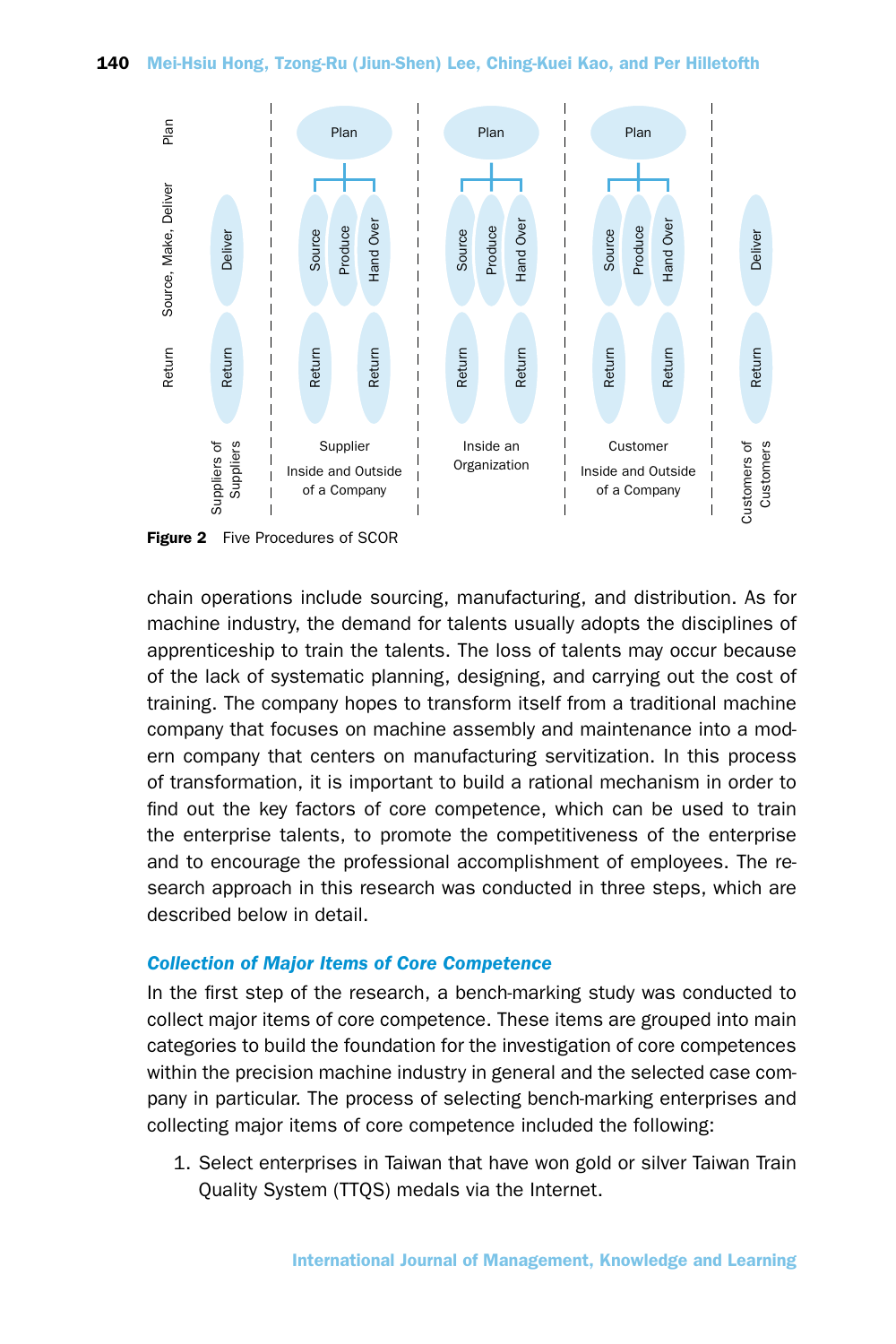

Figure 2 Five Procedures of SCOR

chain operations include sourcing, manufacturing, and distribution. As for machine industry, the demand for talents usually adopts the disciplines of apprenticeship to train the talents. The loss of talents may occur because of the lack of systematic planning, designing, and carrying out the cost of training. The company hopes to transform itself from a traditional machine company that focuses on machine assembly and maintenance into a modern company that centers on manufacturing servitization. In this process of transformation, it is important to build a rational mechanism in order to find out the key factors of core competence, which can be used to train the enterprise talents, to promote the competitiveness of the enterprise and to encourage the professional accomplishment of employees. The research approach in this research was conducted in three steps, which are described below in detail.

# *Collection of Major Items of Core Competence*

In the first step of the research, a bench-marking study was conducted to collect major items of core competence. These items are grouped into main categories to build the foundation for the investigation of core competences within the precision machine industry in general and the selected case company in particular. The process of selecting bench-marking enterprises and collecting major items of core competence included the following:

1. Select enterprises in Taiwan that have won gold or silver Taiwan Train Quality System (TTQS) medals via the Internet.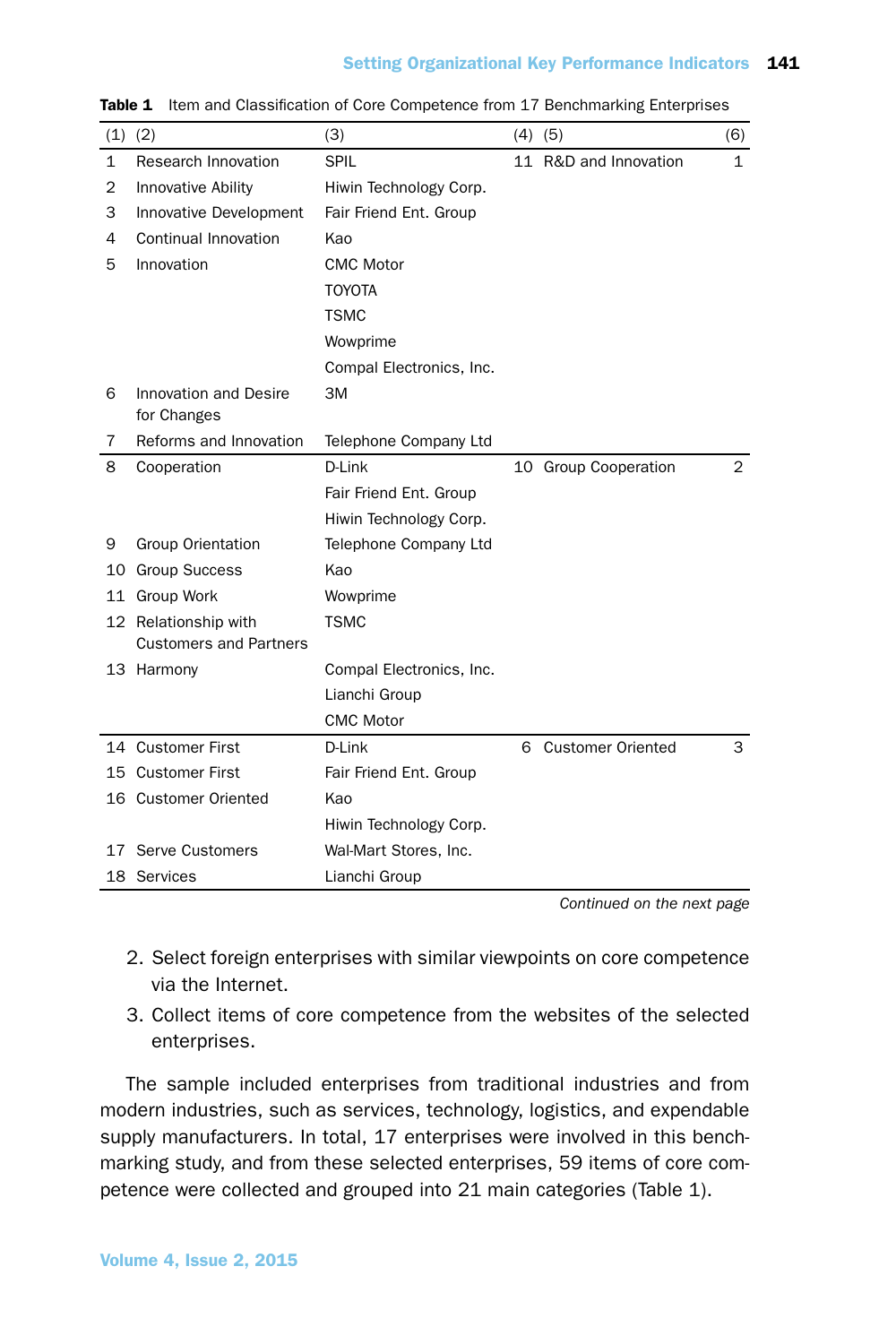## Setting Organizational Key Performance Indicators 141

| (1)          | (2)                                                   | (3)                      |   | $(4)$ $(5)$              | (6)            |
|--------------|-------------------------------------------------------|--------------------------|---|--------------------------|----------------|
| $\mathbf{1}$ | Research Innovation                                   | <b>SPIL</b>              |   | 11 R&D and Innovation    | $\mathbf{1}$   |
| 2            | Innovative Ability                                    | Hiwin Technology Corp.   |   |                          |                |
| 3            | Innovative Development                                | Fair Friend Ent. Group   |   |                          |                |
| 4            | Continual Innovation                                  | Kao                      |   |                          |                |
| 5            | Innovation                                            | <b>CMC Motor</b>         |   |                          |                |
|              |                                                       | <b>TOYOTA</b>            |   |                          |                |
|              |                                                       | <b>TSMC</b>              |   |                          |                |
|              |                                                       | Wowprime                 |   |                          |                |
|              |                                                       | Compal Electronics, Inc. |   |                          |                |
| 6            | <b>Innovation and Desire</b><br>for Changes           | 3M                       |   |                          |                |
| 7            | Reforms and Innovation                                | Telephone Company Ltd    |   |                          |                |
| 8            | Cooperation                                           | D-Link                   |   | 10 Group Cooperation     | $\overline{2}$ |
|              |                                                       | Fair Friend Ent. Group   |   |                          |                |
|              |                                                       | Hiwin Technology Corp.   |   |                          |                |
| 9            | <b>Group Orientation</b>                              | Telephone Company Ltd    |   |                          |                |
|              | 10 Group Success                                      | Kao                      |   |                          |                |
|              | 11 Group Work                                         | Wowprime                 |   |                          |                |
|              | 12 Relationship with<br><b>Customers and Partners</b> | <b>TSMC</b>              |   |                          |                |
|              | 13 Harmony                                            | Compal Electronics, Inc. |   |                          |                |
|              |                                                       | Lianchi Group            |   |                          |                |
|              |                                                       | <b>CMC Motor</b>         |   |                          |                |
|              | 14 Customer First                                     | D-Link                   | 6 | <b>Customer Oriented</b> | 3              |
|              | 15 Customer First                                     | Fair Friend Ent. Group   |   |                          |                |
|              | 16 Customer Oriented                                  | Kao                      |   |                          |                |
|              |                                                       | Hiwin Technology Corp.   |   |                          |                |
|              | 17 Serve Customers                                    | Wal-Mart Stores, Inc.    |   |                          |                |
|              | 18 Services                                           | Lianchi Group            |   |                          |                |

Table 1 Item and Classification of Core Competence from 17 Benchmarking Enterprises

*Continued on the next page*

- 2. Select foreign enterprises with similar viewpoints on core competence via the Internet.
- 3. Collect items of core competence from the websites of the selected enterprises.

The sample included enterprises from traditional industries and from modern industries, such as services, technology, logistics, and expendable supply manufacturers. In total, 17 enterprises were involved in this benchmarking study, and from these selected enterprises, 59 items of core competence were collected and grouped into 21 main categories (Table 1).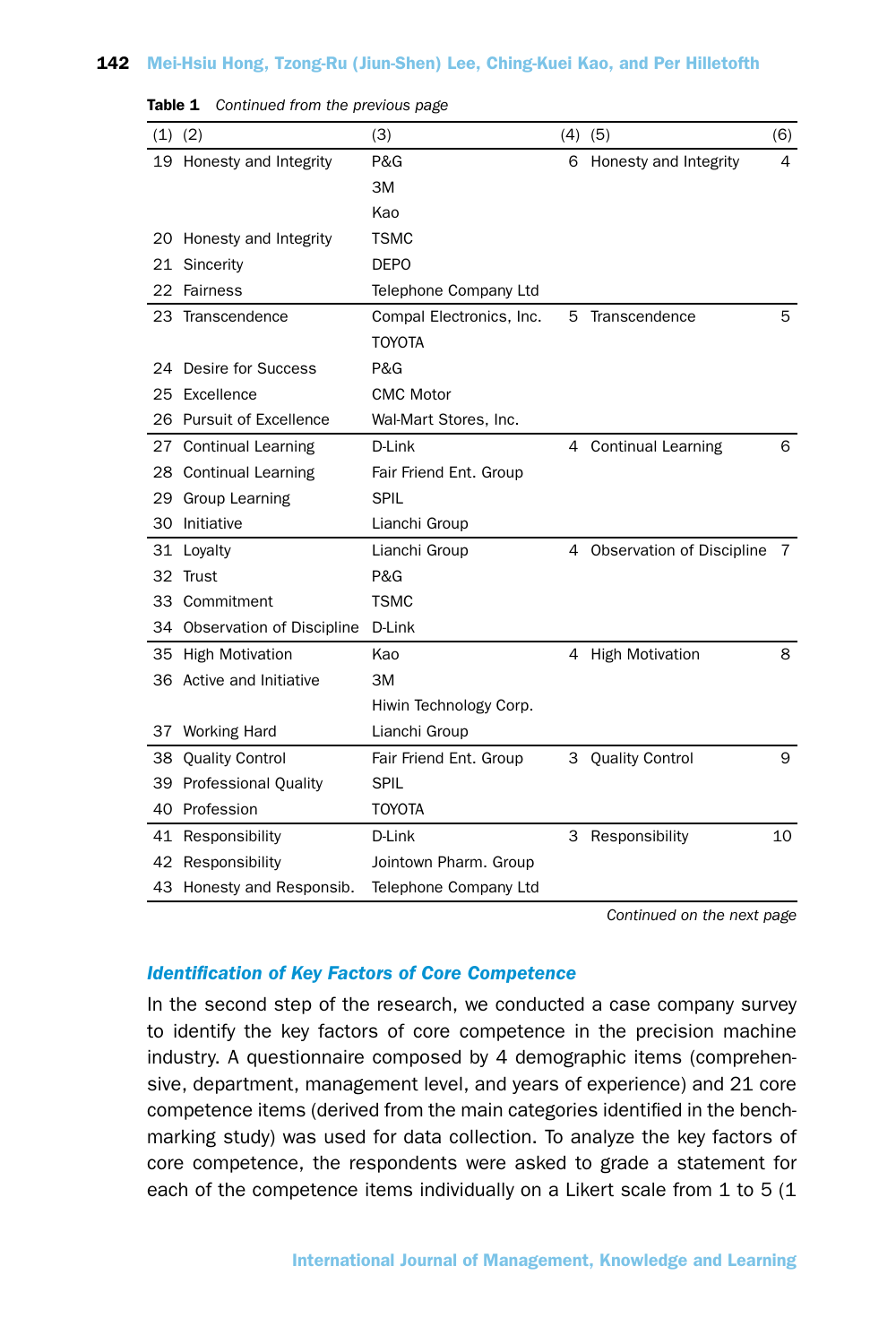|    | $(1)$ $(2)$                  | (3)                      |   | $(4)$ (5)                   | (6) |
|----|------------------------------|--------------------------|---|-----------------------------|-----|
|    | 19 Honesty and Integrity     | P&G                      |   | 6 Honesty and Integrity     | 4   |
|    |                              | 3M                       |   |                             |     |
|    |                              | Kao                      |   |                             |     |
|    | 20 Honesty and Integrity     | <b>TSMC</b>              |   |                             |     |
|    | 21 Sincerity                 | <b>DEPO</b>              |   |                             |     |
|    | 22 Fairness                  | Telephone Company Ltd    |   |                             |     |
|    | 23 Transcendence             | Compal Electronics, Inc. | 5 | Transcendence               | 5   |
|    |                              | <b>TOYOTA</b>            |   |                             |     |
|    | 24 Desire for Success        | P&G                      |   |                             |     |
|    | 25 Excellence                | <b>CMC Motor</b>         |   |                             |     |
|    | 26 Pursuit of Excellence     | Wal-Mart Stores, Inc.    |   |                             |     |
|    | 27 Continual Learning        | D-Link                   |   | 4 Continual Learning        | 6   |
|    | 28 Continual Learning        | Fair Friend Ent. Group   |   |                             |     |
|    | 29 Group Learning            | <b>SPIL</b>              |   |                             |     |
| 30 | Initiative                   | Lianchi Group            |   |                             |     |
|    | 31 Loyalty                   | Lianchi Group            |   | 4 Observation of Discipline | 7   |
|    | 32 Trust                     | P&G                      |   |                             |     |
|    | 33 Commitment                | <b>TSMC</b>              |   |                             |     |
|    | 34 Observation of Discipline | D-Link                   |   |                             |     |
|    | 35 High Motivation           | Kao                      |   | 4 High Motivation           | 8   |
|    | 36 Active and Initiative     | ЗM                       |   |                             |     |
|    |                              | Hiwin Technology Corp.   |   |                             |     |
|    | 37 Working Hard              | Lianchi Group            |   |                             |     |
|    | 38 Quality Control           | Fair Friend Ent. Group   |   | 3 Quality Control           | 9   |
|    | 39 Professional Quality      | <b>SPIL</b>              |   |                             |     |
|    | 40 Profession                | <b>TOYOTA</b>            |   |                             |     |
|    | 41 Responsibility            | D-Link                   |   | 3 Responsibility            | 10  |
|    | 42 Responsibility            | Jointown Pharm. Group    |   |                             |     |
|    | 43 Honesty and Responsib.    | Telephone Company Ltd    |   |                             |     |

Table 1 *Continued from the previous page*

*Continued on the next page*

# *Identification of Key Factors of Core Competence*

In the second step of the research, we conducted a case company survey to identify the key factors of core competence in the precision machine industry. A questionnaire composed by 4 demographic items (comprehensive, department, management level, and years of experience) and 21 core competence items (derived from the main categories identified in the benchmarking study) was used for data collection. To analyze the key factors of core competence, the respondents were asked to grade a statement for each of the competence items individually on a Likert scale from 1 to 5 (1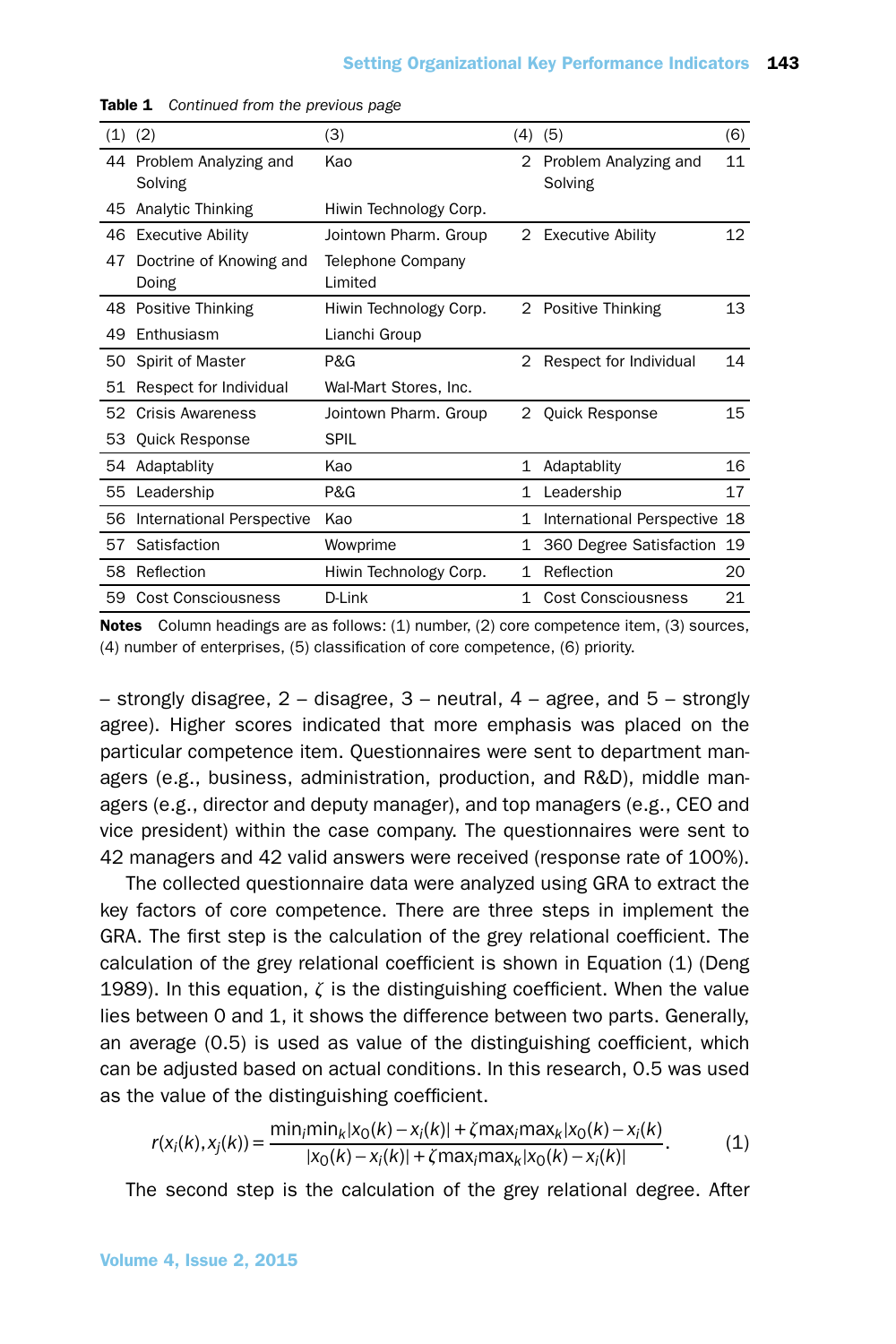| (1) | (2)                              | (3)                          | (4)          | (5)                              | (6) |
|-----|----------------------------------|------------------------------|--------------|----------------------------------|-----|
| 44  | Problem Analyzing and<br>Solving | Kao                          | 2            | Problem Analyzing and<br>Solving | 11  |
| 45  | Analytic Thinking                | Hiwin Technology Corp.       |              |                                  |     |
| 46  | <b>Executive Ability</b>         | Jointown Pharm. Group        |              | 2 Executive Ability              | 12  |
| 47  | Doctrine of Knowing and<br>Doing | Telephone Company<br>Limited |              |                                  |     |
| 48  | Positive Thinking                | Hiwin Technology Corp.       |              | 2 Positive Thinking              | 13  |
| 49  | Enthusiasm                       | Lianchi Group                |              |                                  |     |
| 50  | Spirit of Master                 | P&G                          | 2            | Respect for Individual           | 14  |
| 51  | Respect for Individual           | Wal-Mart Stores, Inc.        |              |                                  |     |
| 52  | <b>Crisis Awareness</b>          | Jointown Pharm. Group        | 2            | <b>Quick Response</b>            | 15  |
| 53  | <b>Quick Response</b>            | <b>SPIL</b>                  |              |                                  |     |
| 54  | Adaptablity                      | Kao                          | $\mathbf{1}$ | Adaptablity                      | 16  |
| 55  | Leadership                       | P&G                          | $\mathbf{1}$ | Leadership                       | 17  |
| 56  | International Perspective        | Kao                          | $\mathbf{1}$ | International Perspective 18     |     |
| 57  | Satisfaction                     | Wowprime                     | 1            | 360 Degree Satisfaction          | 19  |
| 58  | Reflection                       | Hiwin Technology Corp.       | 1            | Reflection                       | 20  |
| 59  | <b>Cost Consciousness</b>        | D-Link                       | 1            | Cost Consciousness               | 21  |

Table 1 *Continued from the previous page*

Notes Column headings are as follows: (1) number, (2) core competence item, (3) sources, (4) number of enterprises, (5) classification of core competence, (6) priority.

– strongly disagree,  $2$  – disagree,  $3$  – neutral,  $4$  – agree, and  $5$  – strongly agree). Higher scores indicated that more emphasis was placed on the particular competence item. Questionnaires were sent to department managers (e.g., business, administration, production, and R&D), middle managers (e.g., director and deputy manager), and top managers (e.g., CEO and vice president) within the case company. The questionnaires were sent to 42 managers and 42 valid answers were received (response rate of 100%).

The collected questionnaire data were analyzed using GRA to extract the key factors of core competence. There are three steps in implement the GRA. The first step is the calculation of the grey relational coefficient. The calculation of the grey relational coefficient is shown in Equation (1) (Deng 1989). In this equation, *ζ* is the distinguishing coefficient. When the value lies between 0 and 1, it shows the difference between two parts. Generally, an average (0.5) is used as value of the distinguishing coefficient, which can be adjusted based on actual conditions. In this research, 0.5 was used as the value of the distinguishing coefficient.

$$
r(x_i(k), x_j(k)) = \frac{\min_i \min_k |x_0(k) - x_i(k)| + \zeta \max_i \max_k |x_0(k) - x_i(k)|}{|x_0(k) - x_i(k)| + \zeta \max_i \max_k |x_0(k) - x_i(k)|}.
$$
(1)

The second step is the calculation of the grey relational degree. After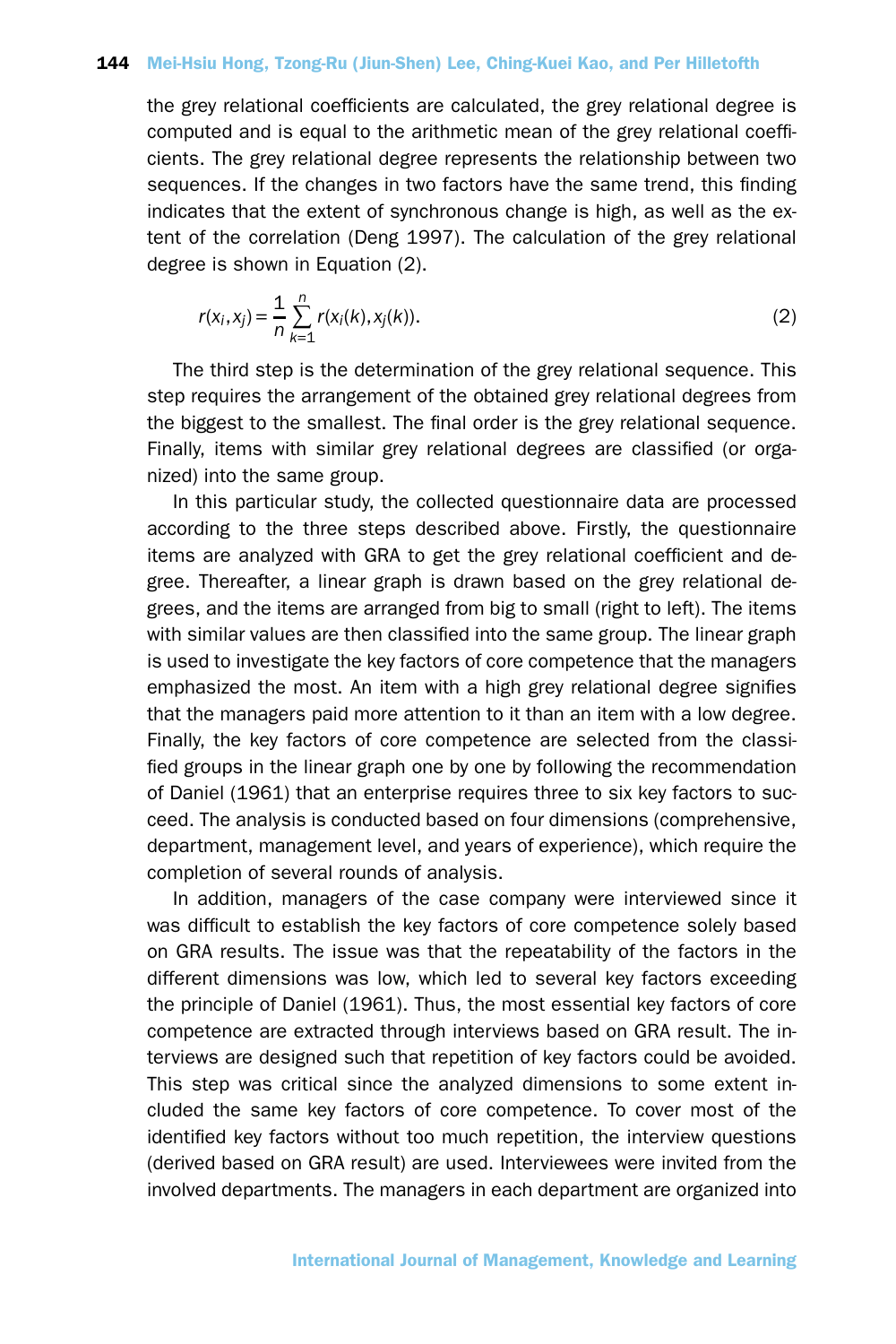the grey relational coefficients are calculated, the grey relational degree is computed and is equal to the arithmetic mean of the grey relational coefficients. The grey relational degree represents the relationship between two sequences. If the changes in two factors have the same trend, this finding indicates that the extent of synchronous change is high, as well as the extent of the correlation (Deng 1997). The calculation of the grey relational degree is shown in Equation (2).

$$
r(x_i, x_j) = \frac{1}{n} \sum_{k=1}^{n} r(x_i(k), x_j(k)).
$$
 (2)

The third step is the determination of the grey relational sequence. This step requires the arrangement of the obtained grey relational degrees from the biggest to the smallest. The final order is the grey relational sequence. Finally, items with similar grey relational degrees are classified (or organized) into the same group.

In this particular study, the collected questionnaire data are processed according to the three steps described above. Firstly, the questionnaire items are analyzed with GRA to get the grey relational coefficient and degree. Thereafter, a linear graph is drawn based on the grey relational degrees, and the items are arranged from big to small (right to left). The items with similar values are then classified into the same group. The linear graph is used to investigate the key factors of core competence that the managers emphasized the most. An item with a high grey relational degree signifies that the managers paid more attention to it than an item with a low degree. Finally, the key factors of core competence are selected from the classified groups in the linear graph one by one by following the recommendation of Daniel (1961) that an enterprise requires three to six key factors to succeed. The analysis is conducted based on four dimensions (comprehensive, department, management level, and years of experience), which require the completion of several rounds of analysis.

In addition, managers of the case company were interviewed since it was difficult to establish the key factors of core competence solely based on GRA results. The issue was that the repeatability of the factors in the different dimensions was low, which led to several key factors exceeding the principle of Daniel (1961). Thus, the most essential key factors of core competence are extracted through interviews based on GRA result. The interviews are designed such that repetition of key factors could be avoided. This step was critical since the analyzed dimensions to some extent included the same key factors of core competence. To cover most of the identified key factors without too much repetition, the interview questions (derived based on GRA result) are used. Interviewees were invited from the involved departments. The managers in each department are organized into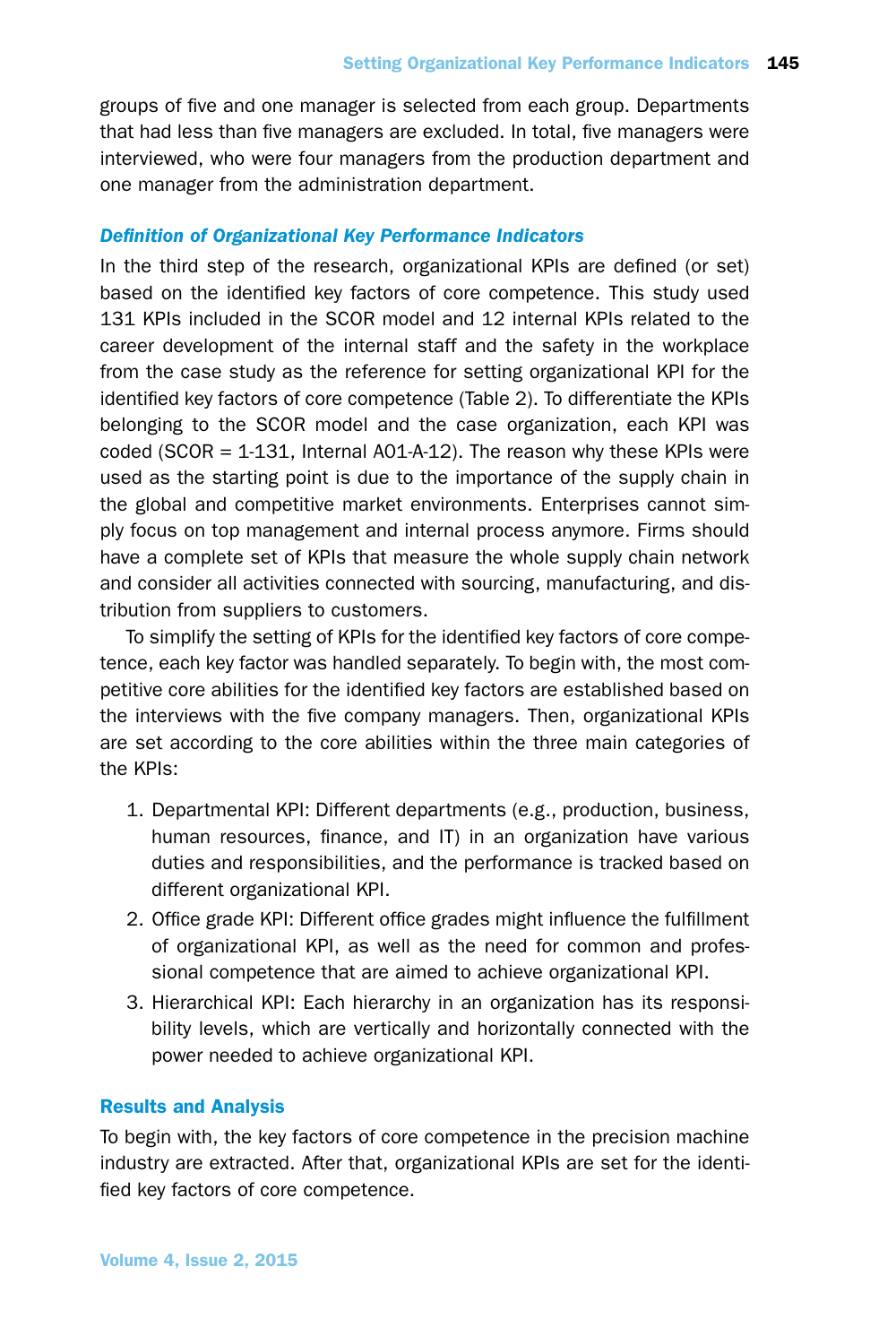groups of five and one manager is selected from each group. Departments that had less than five managers are excluded. In total, five managers were interviewed, who were four managers from the production department and one manager from the administration department.

# *Definition of Organizational Key Performance Indicators*

In the third step of the research, organizational KPIs are defined (or set) based on the identified key factors of core competence. This study used 131 KPIs included in the SCOR model and 12 internal KPIs related to the career development of the internal staff and the safety in the workplace from the case study as the reference for setting organizational KPI for the identified key factors of core competence (Table 2). To differentiate the KPIs belonging to the SCOR model and the case organization, each KPI was coded (SCOR  $= 1.131$ , Internal A01-A-12). The reason why these KPIs were used as the starting point is due to the importance of the supply chain in the global and competitive market environments. Enterprises cannot simply focus on top management and internal process anymore. Firms should have a complete set of KPIs that measure the whole supply chain network and consider all activities connected with sourcing, manufacturing, and distribution from suppliers to customers.

To simplify the setting of KPIs for the identified key factors of core competence, each key factor was handled separately. To begin with, the most competitive core abilities for the identified key factors are established based on the interviews with the five company managers. Then, organizational KPIs are set according to the core abilities within the three main categories of the KPIs:

- 1. Departmental KPI: Different departments (e.g., production, business, human resources, finance, and IT) in an organization have various duties and responsibilities, and the performance is tracked based on different organizational KPI.
- 2. Office grade KPI: Different office grades might influence the fulfillment of organizational KPI, as well as the need for common and professional competence that are aimed to achieve organizational KPI.
- 3. Hierarchical KPI: Each hierarchy in an organization has its responsibility levels, which are vertically and horizontally connected with the power needed to achieve organizational KPI.

# Results and Analysis

To begin with, the key factors of core competence in the precision machine industry are extracted. After that, organizational KPIs are set for the identified key factors of core competence.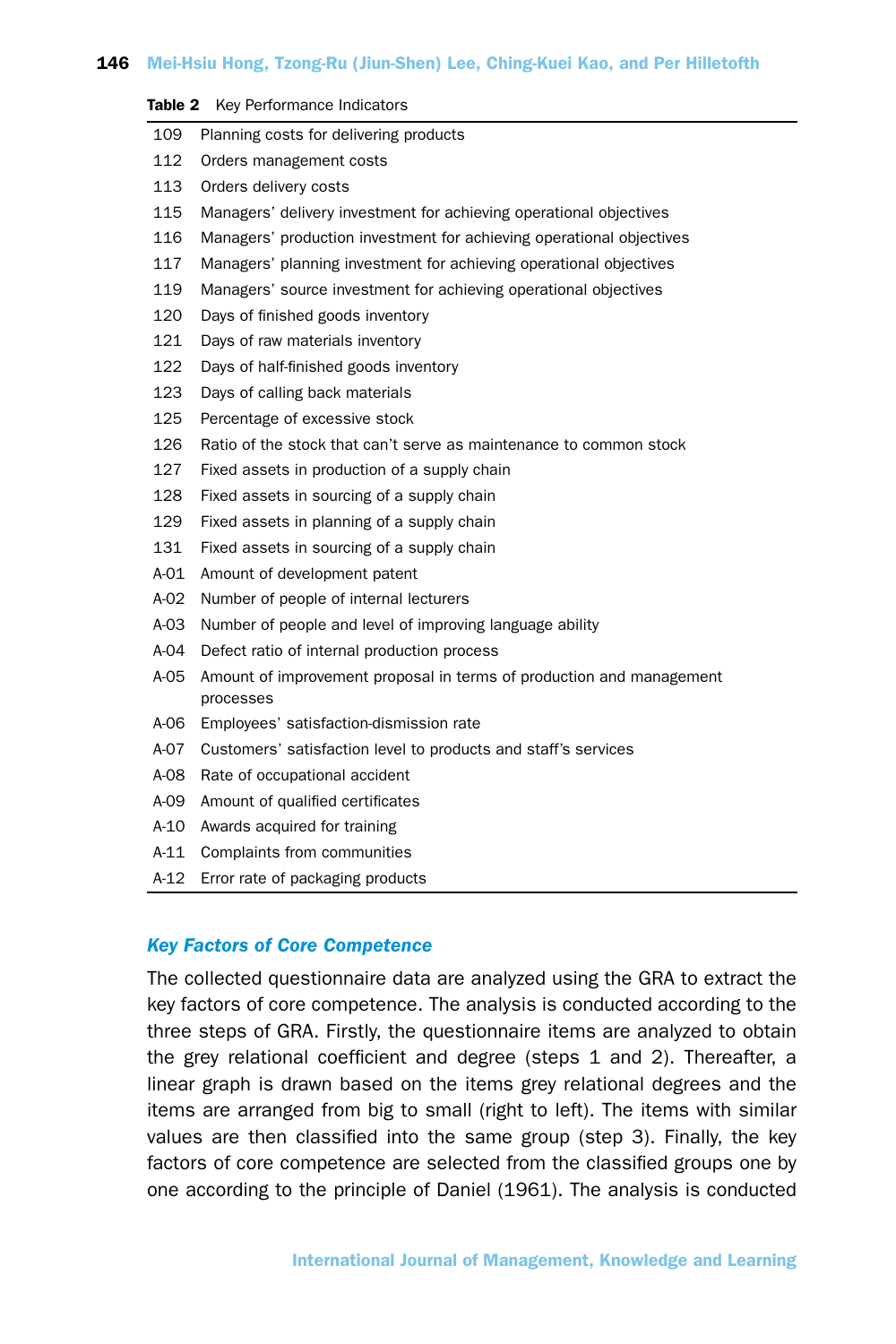#### Table 2 Key Performance Indicators

| 109           | Planning costs for delivering products                               |
|---------------|----------------------------------------------------------------------|
| 112           | Orders management costs                                              |
| 113           | Orders delivery costs                                                |
| 115           | Managers' delivery investment for achieving operational objectives   |
| 116           | Managers' production investment for achieving operational objectives |
| 117           | Managers' planning investment for achieving operational objectives   |
| 119           | Managers' source investment for achieving operational objectives     |
| 120           | Days of finished goods inventory                                     |
| 121           | Days of raw materials inventory                                      |
| 122           | Days of half-finished goods inventory                                |
| 123           | Days of calling back materials                                       |
| 125           | Percentage of excessive stock                                        |
| 126           | Ratio of the stock that can't serve as maintenance to common stock   |
| 127           | Fixed assets in production of a supply chain                         |
| 128           | Fixed assets in sourcing of a supply chain                           |
| 129           | Fixed assets in planning of a supply chain                           |
| 131           | Fixed assets in sourcing of a supply chain                           |
| $A-01$        | Amount of development patent                                         |
| $A-02$        | Number of people of internal lecturers                               |
| $\sim$ $\sim$ |                                                                      |

- A-03 Number of people and level of improving language ability
- A-04 Defect ratio of internal production process
- A-05 Amount of improvement proposal in terms of production and management processes
- A-06 Employees' satisfaction-dismission rate
- A-07 Customers' satisfaction level to products and staff's services
- A-08 Rate of occupational accident
- A-09 Amount of qualified certificates
- A-10 Awards acquired for training
- A-11 Complaints from communities
- A-12 Error rate of packaging products

## *Key Factors of Core Competence*

The collected questionnaire data are analyzed using the GRA to extract the key factors of core competence. The analysis is conducted according to the three steps of GRA. Firstly, the questionnaire items are analyzed to obtain the grey relational coefficient and degree (steps 1 and 2). Thereafter, a linear graph is drawn based on the items grey relational degrees and the items are arranged from big to small (right to left). The items with similar values are then classified into the same group (step 3). Finally, the key factors of core competence are selected from the classified groups one by one according to the principle of Daniel (1961). The analysis is conducted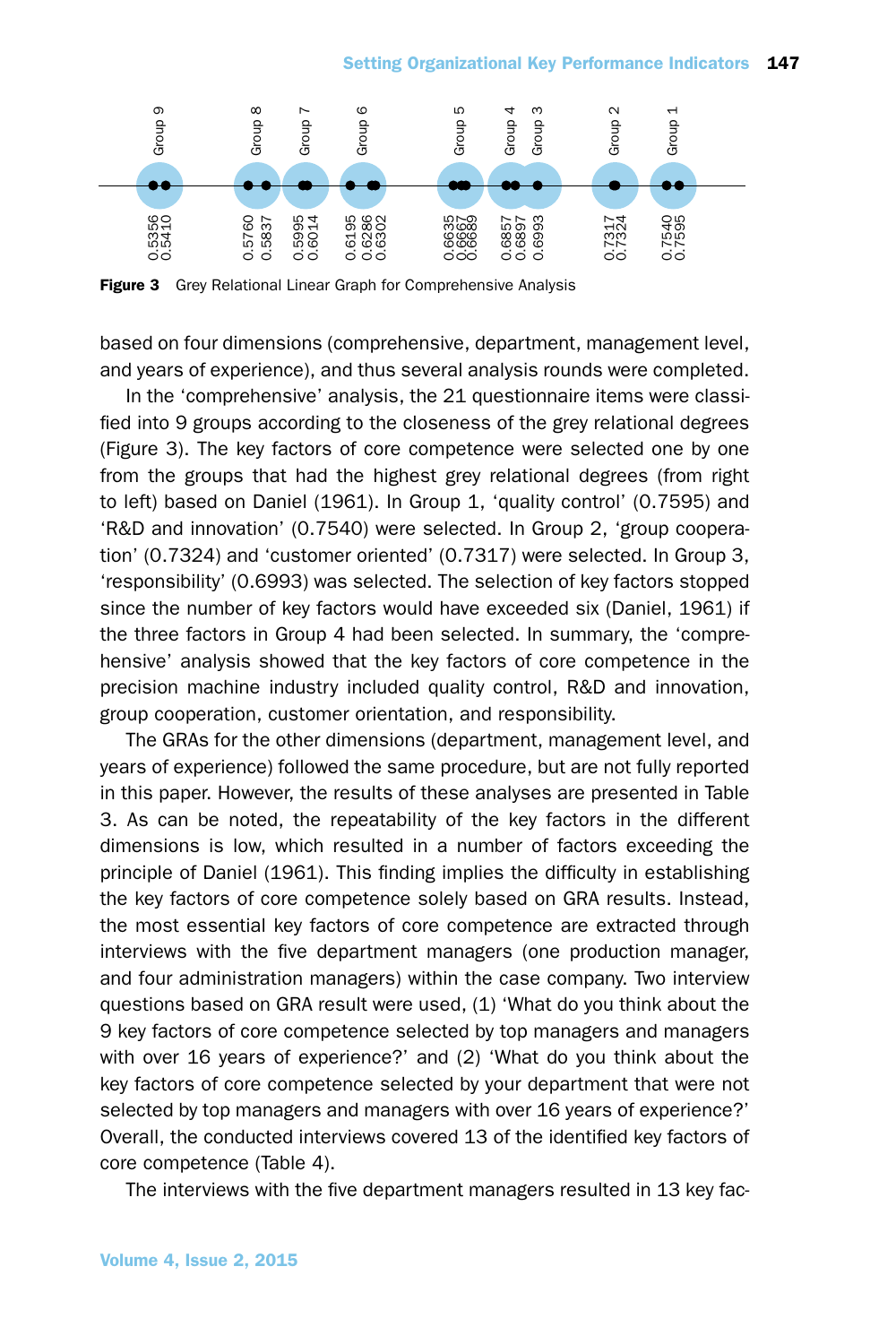#### Setting Organizational Key Performance Indicators 147



Figure 3 Grey Relational Linear Graph for Comprehensive Analysis

based on four dimensions (comprehensive, department, management level, and years of experience), and thus several analysis rounds were completed.

In the 'comprehensive' analysis, the 21 questionnaire items were classified into 9 groups according to the closeness of the grey relational degrees (Figure 3). The key factors of core competence were selected one by one from the groups that had the highest grey relational degrees (from right to left) based on Daniel (1961). In Group 1, 'quality control' (0.7595) and 'R&D and innovation' (0.7540) were selected. In Group 2, 'group cooperation' (0.7324) and 'customer oriented' (0.7317) were selected. In Group 3, 'responsibility' (0.6993) was selected. The selection of key factors stopped since the number of key factors would have exceeded six (Daniel, 1961) if the three factors in Group 4 had been selected. In summary, the 'comprehensive' analysis showed that the key factors of core competence in the precision machine industry included quality control, R&D and innovation, group cooperation, customer orientation, and responsibility.

The GRAs for the other dimensions (department, management level, and years of experience) followed the same procedure, but are not fully reported in this paper. However, the results of these analyses are presented in Table 3. As can be noted, the repeatability of the key factors in the different dimensions is low, which resulted in a number of factors exceeding the principle of Daniel (1961). This finding implies the difficulty in establishing the key factors of core competence solely based on GRA results. Instead, the most essential key factors of core competence are extracted through interviews with the five department managers (one production manager, and four administration managers) within the case company. Two interview questions based on GRA result were used, (1) 'What do you think about the 9 key factors of core competence selected by top managers and managers with over 16 years of experience?' and (2) 'What do you think about the key factors of core competence selected by your department that were not selected by top managers and managers with over 16 years of experience?' Overall, the conducted interviews covered 13 of the identified key factors of core competence (Table 4).

The interviews with the five department managers resulted in 13 key fac-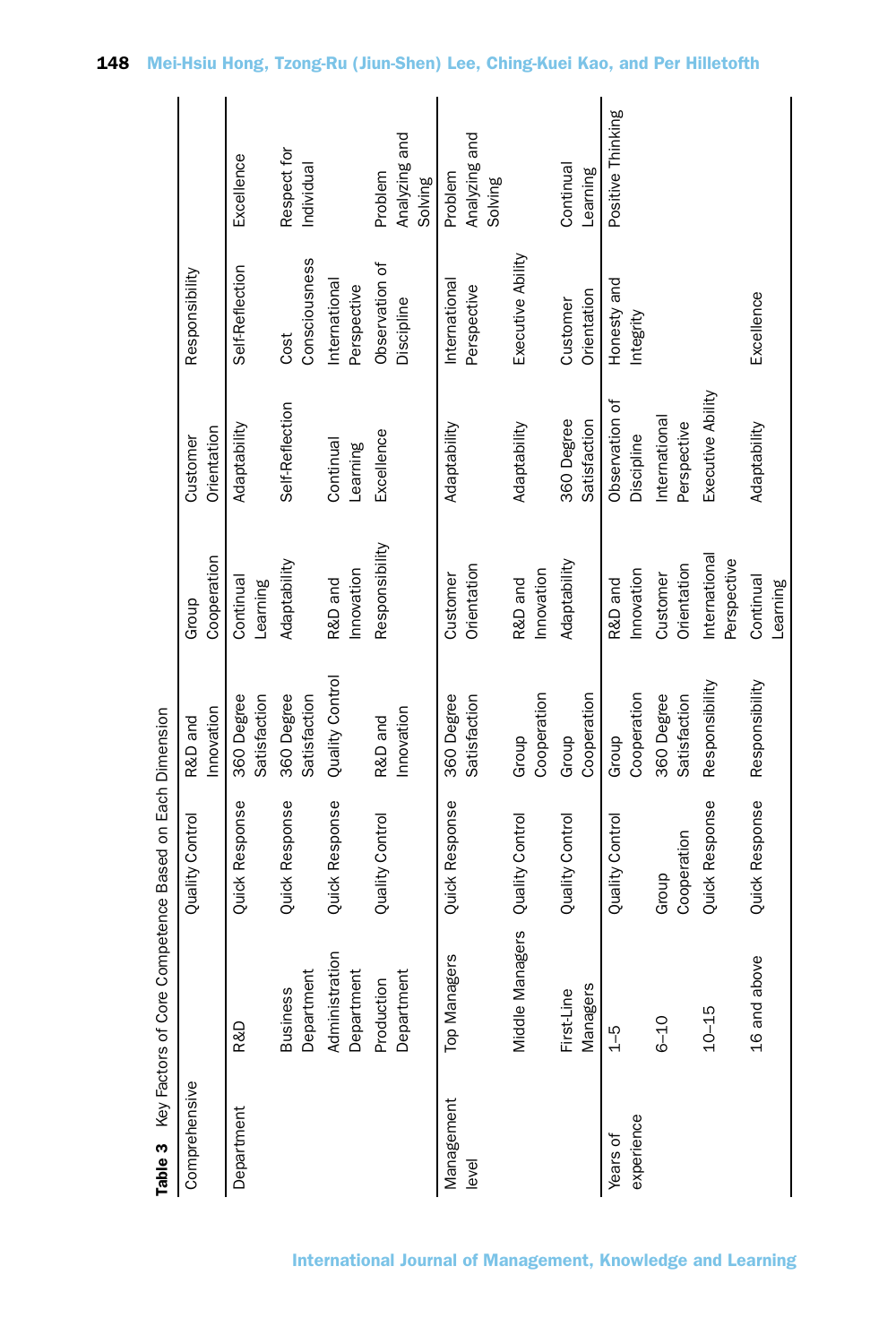|                        | lable 3 Key Factors of Core Competence Based on Each Dimension |                      |                            |                              |                              |                              |                                     |
|------------------------|----------------------------------------------------------------|----------------------|----------------------------|------------------------------|------------------------------|------------------------------|-------------------------------------|
| Comprehensive          |                                                                | Quality Control      | Innovation<br>R&D and      | Cooperation<br>Group         | Orientation<br>Customer      | Responsibility               |                                     |
| Department             | R&D                                                            | Quick Response       | Satisfaction<br>360 Degree | Continual<br>Learning        | Adaptability                 | Self-Reflection              | Excellence                          |
|                        | Department<br><b>Business</b>                                  | Quick Response       | 360 Degree<br>Satisfaction | Adaptability                 | Self-Reflection              | Consciousness<br>Cost        | Respect for<br>Individual           |
|                        | Administration<br>Department                                   | Quick Response       | Quality Control            | Innovation<br>R&D and        | Continual<br>Learning        | International<br>Perspective |                                     |
|                        | Department<br>Production                                       | Quality Control      | Innovation<br>R&D and      | Responsibility               | Excellence                   | Observation of<br>Discipline | Analyzing and<br>Problem<br>Solving |
| Management<br>level    | Managers<br>Tор                                                | Quick Response       | 360 Degree<br>Satisfaction | Orientation<br>Customer      | Adaptability                 | International<br>Perspective | Analyzing and<br>Problem<br>Solving |
|                        | Middle Managers                                                | Quality Control      | Cooperation<br>Group       | Innovation<br>R&D and        | Adaptability                 | Executive Ability            |                                     |
|                        | Managers<br>First-Line                                         | Quality Control      | Cooperation<br>Group       | Adaptability                 | 360 Degree<br>Satisfaction   | Orientation<br>Customer      | Continual<br>Learning               |
| experience<br>Years of | $\frac{1}{2}$                                                  | Quality Control      | Cooperation<br>Group       | Innovation<br>R&D and        | Observation of<br>Discipline | Honesty and<br>Integrity     | Positive Thinking                   |
|                        | $6 - 10$                                                       | Cooperation<br>Group | 360 Degree<br>Satisfaction | Orientation<br>Customer      | International<br>Perspective |                              |                                     |
|                        | $10 - 15$                                                      | Quick Response       | Responsibility             | International<br>Perspective | Executive Ability            |                              |                                     |
|                        | 16 and above                                                   | Quick Response       | Responsibility             | Continual<br>Learning        | Adaptability                 | Excellence                   |                                     |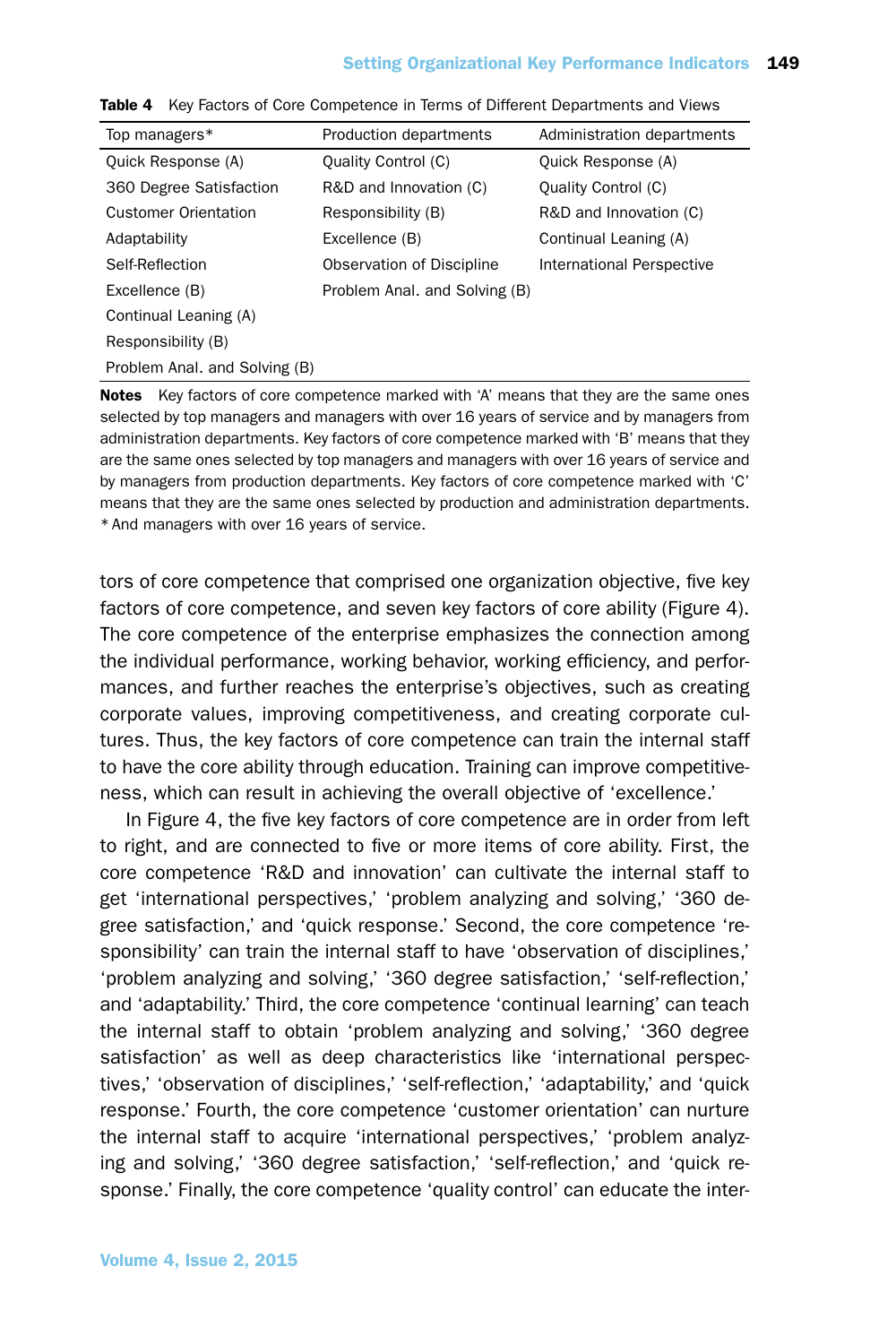# Setting Organizational Key Performance Indicators 149

| Top managers*                 | Production departments        | Administration departments |
|-------------------------------|-------------------------------|----------------------------|
| Quick Response (A)            | Quality Control (C)           | Quick Response (A)         |
| 360 Degree Satisfaction       | R&D and Innovation (C)        | Quality Control (C)        |
| <b>Customer Orientation</b>   | Responsibility (B)            | R&D and Innovation (C)     |
| Adaptability                  | Excellence (B)                | Continual Leaning (A)      |
| Self-Reflection               | Observation of Discipline     | International Perspective  |
| Excellence (B)                | Problem Anal. and Solving (B) |                            |
| Continual Leaning (A)         |                               |                            |
| Responsibility (B)            |                               |                            |
| Problem Anal. and Solving (B) |                               |                            |
|                               |                               |                            |

|  | <b>Table 4</b> Key Factors of Core Competence in Terms of Different Departments and Views |  |  |  |  |  |  |
|--|-------------------------------------------------------------------------------------------|--|--|--|--|--|--|
|--|-------------------------------------------------------------------------------------------|--|--|--|--|--|--|

Notes Key factors of core competence marked with 'A' means that they are the same ones selected by top managers and managers with over 16 years of service and by managers from administration departments. Key factors of core competence marked with 'B' means that they are the same ones selected by top managers and managers with over 16 years of service and by managers from production departments. Key factors of core competence marked with 'C' means that they are the same ones selected by production and administration departments. \* And managers with over 16 years of service.

tors of core competence that comprised one organization objective, five key factors of core competence, and seven key factors of core ability (Figure 4). The core competence of the enterprise emphasizes the connection among the individual performance, working behavior, working efficiency, and performances, and further reaches the enterprise's objectives, such as creating corporate values, improving competitiveness, and creating corporate cultures. Thus, the key factors of core competence can train the internal staff to have the core ability through education. Training can improve competitiveness, which can result in achieving the overall objective of 'excellence.'

In Figure 4, the five key factors of core competence are in order from left to right, and are connected to five or more items of core ability. First, the core competence 'R&D and innovation' can cultivate the internal staff to get 'international perspectives,' 'problem analyzing and solving,' '360 degree satisfaction,' and 'quick response.' Second, the core competence 'responsibility' can train the internal staff to have 'observation of disciplines,' 'problem analyzing and solving,' '360 degree satisfaction,' 'self-reflection,' and 'adaptability.' Third, the core competence 'continual learning' can teach the internal staff to obtain 'problem analyzing and solving,' '360 degree satisfaction' as well as deep characteristics like 'international perspectives,' 'observation of disciplines,' 'self-reflection,' 'adaptability,' and 'quick response.' Fourth, the core competence 'customer orientation' can nurture the internal staff to acquire 'international perspectives,' 'problem analyzing and solving,' '360 degree satisfaction,' 'self-reflection,' and 'quick response.' Finally, the core competence 'quality control' can educate the inter-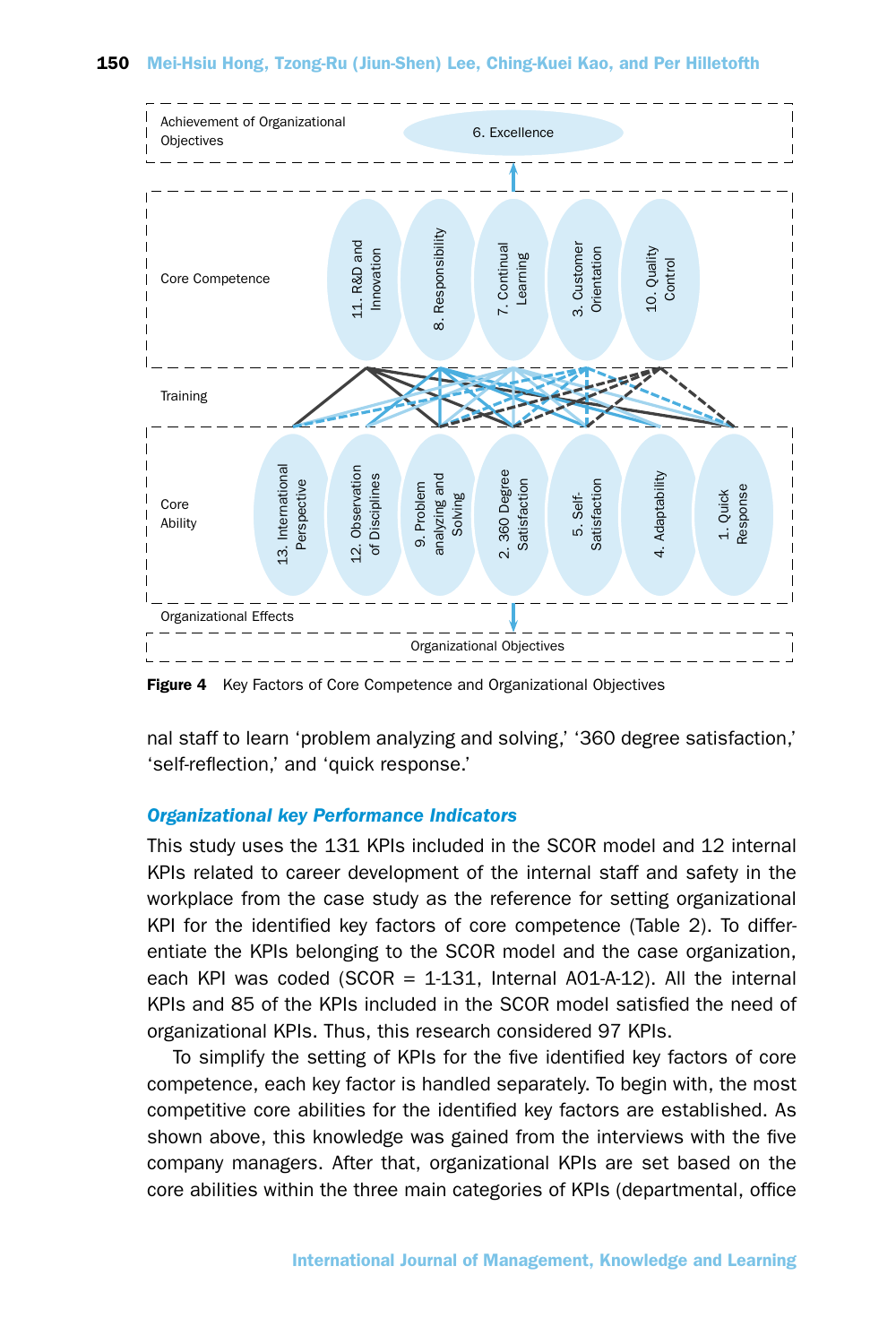

Figure 4 Key Factors of Core Competence and Organizational Objectives

nal staff to learn 'problem analyzing and solving,' '360 degree satisfaction,' 'self-reflection,' and 'quick response.'

# *Organizational key Performance Indicators*

This study uses the 131 KPIs included in the SCOR model and 12 internal KPIs related to career development of the internal staff and safety in the workplace from the case study as the reference for setting organizational KPI for the identified key factors of core competence (Table 2). To differentiate the KPIs belonging to the SCOR model and the case organization, each KPI was coded (SCOR  $=$  1-131, Internal A01-A-12). All the internal KPIs and 85 of the KPIs included in the SCOR model satisfied the need of organizational KPIs. Thus, this research considered 97 KPIs.

To simplify the setting of KPIs for the five identified key factors of core competence, each key factor is handled separately. To begin with, the most competitive core abilities for the identified key factors are established. As shown above, this knowledge was gained from the interviews with the five company managers. After that, organizational KPIs are set based on the core abilities within the three main categories of KPIs (departmental, office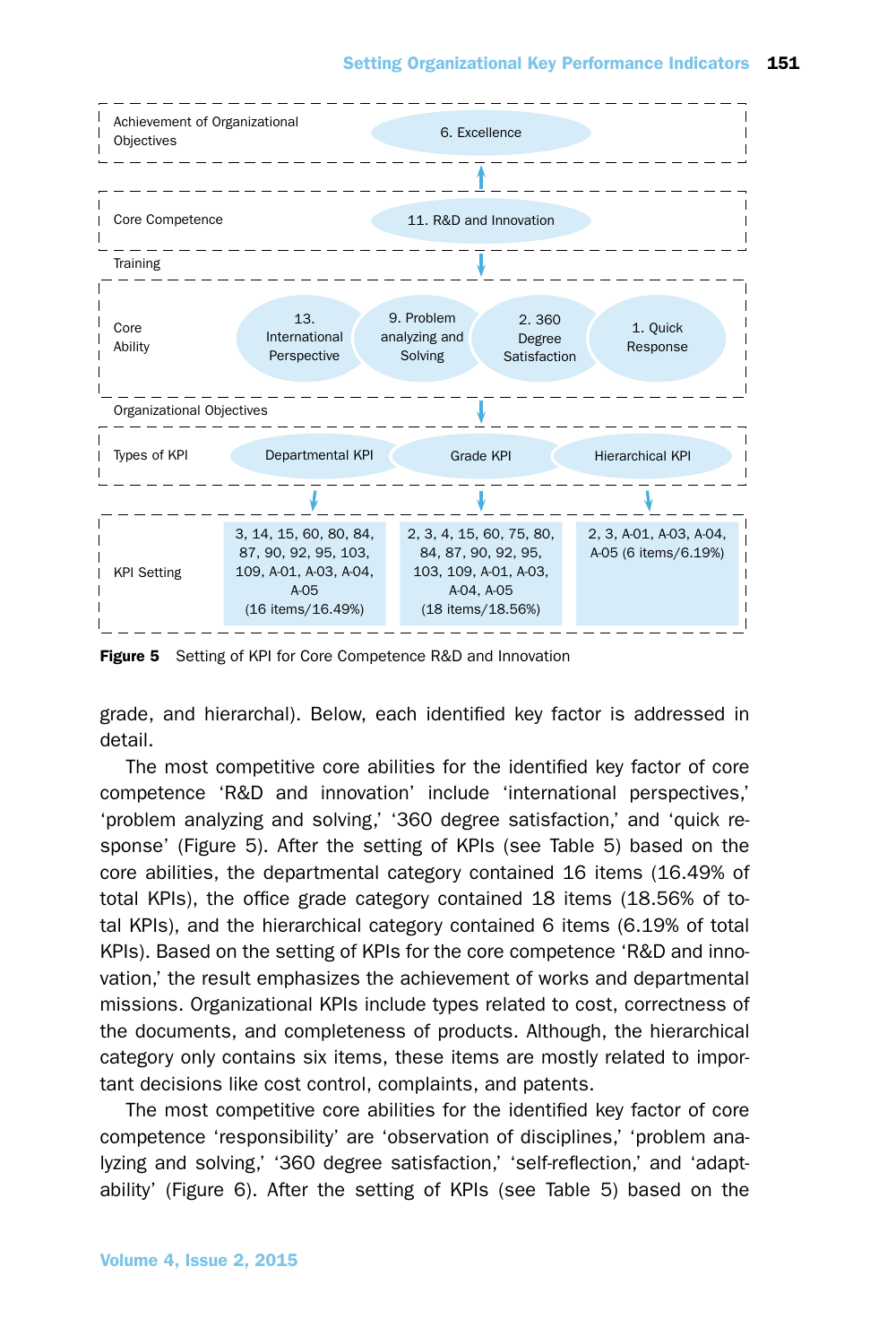

Figure 5 Setting of KPI for Core Competence R&D and Innovation

grade, and hierarchal). Below, each identified key factor is addressed in detail.

The most competitive core abilities for the identified key factor of core competence 'R&D and innovation' include 'international perspectives,' 'problem analyzing and solving,' '360 degree satisfaction,' and 'quick response' (Figure 5). After the setting of KPIs (see Table 5) based on the core abilities, the departmental category contained 16 items (16.49% of total KPIs), the office grade category contained 18 items (18.56% of total KPIs), and the hierarchical category contained 6 items (6.19% of total KPIs). Based on the setting of KPIs for the core competence 'R&D and innovation,' the result emphasizes the achievement of works and departmental missions. Organizational KPIs include types related to cost, correctness of the documents, and completeness of products. Although, the hierarchical category only contains six items, these items are mostly related to important decisions like cost control, complaints, and patents.

The most competitive core abilities for the identified key factor of core competence 'responsibility' are 'observation of disciplines,' 'problem analyzing and solving,' '360 degree satisfaction,' 'self-reflection,' and 'adaptability' (Figure 6). After the setting of KPIs (see Table 5) based on the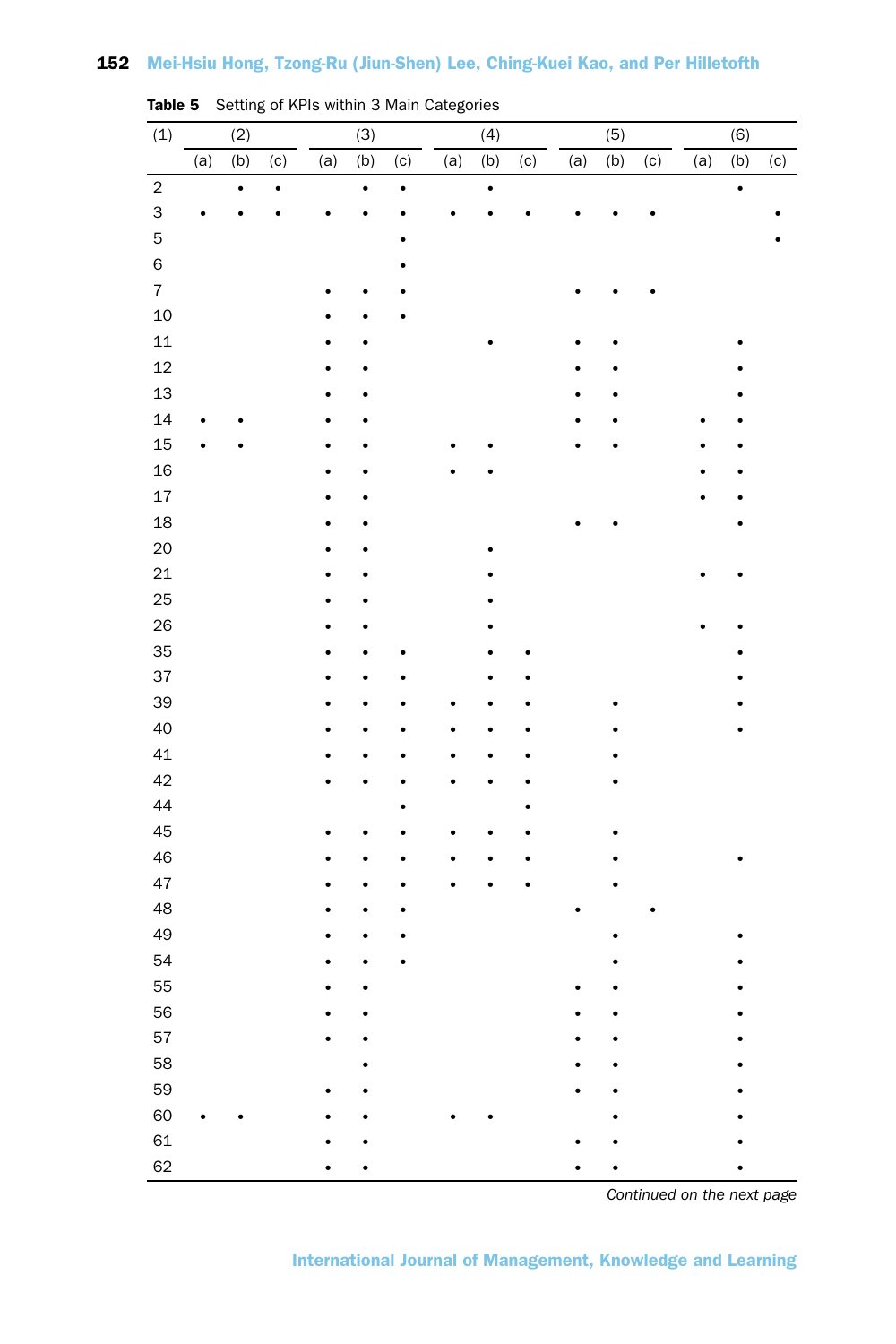| (1)                     |     | (2)       |     |     | (3)       |                            |     | (4)                       |     |     | (5) |     |     | (6)       |     |
|-------------------------|-----|-----------|-----|-----|-----------|----------------------------|-----|---------------------------|-----|-----|-----|-----|-----|-----------|-----|
|                         |     |           |     |     |           |                            |     |                           |     |     |     |     |     |           |     |
|                         | (a) | (b)       | (c) | (a) | (b)       | $\left( \mathrm{c}\right)$ | (a) | $\overline{(\mathsf{b})}$ | (c) | (a) | (b) | (c) | (a) | (b)       | (c) |
| $\overline{c}$<br>3     |     | $\bullet$ |     |     | $\bullet$ | $\bullet$                  |     | $\bullet$                 |     |     |     |     |     | $\bullet$ |     |
|                         |     |           |     |     |           |                            |     |                           |     |     |     |     |     |           |     |
| 5                       |     |           |     |     |           |                            |     |                           |     |     |     |     |     |           |     |
| $\mathsf 6$             |     |           |     |     |           |                            |     |                           |     |     |     |     |     |           |     |
| $\overline{\mathbf{7}}$ |     |           |     |     |           |                            |     |                           |     |     |     |     |     |           |     |
| 10                      |     |           |     |     |           |                            |     |                           |     |     |     |     |     |           |     |
| 11                      |     |           |     |     |           |                            |     |                           |     |     |     |     |     |           |     |
| 12                      |     |           |     |     |           |                            |     |                           |     |     |     |     |     |           |     |
| 13                      |     |           |     |     |           |                            |     |                           |     |     |     |     |     |           |     |
| 14                      |     |           |     |     |           |                            |     |                           |     |     |     |     |     |           |     |
| 15                      |     |           |     |     |           |                            |     |                           |     |     |     |     |     |           |     |
| 16                      |     |           |     |     |           |                            |     |                           |     |     |     |     |     |           |     |
| 17                      |     |           |     |     |           |                            |     |                           |     |     |     |     |     |           |     |
| 18                      |     |           |     |     |           |                            |     |                           |     |     |     |     |     |           |     |
| 20                      |     |           |     |     |           |                            |     |                           |     |     |     |     |     |           |     |
| 21                      |     |           |     |     |           |                            |     |                           |     |     |     |     |     |           |     |
| 25                      |     |           |     |     |           |                            |     |                           |     |     |     |     |     |           |     |
| 26                      |     |           |     |     |           |                            |     |                           |     |     |     |     |     |           |     |
| 35                      |     |           |     |     |           |                            |     |                           |     |     |     |     |     |           |     |
| 37                      |     |           |     |     |           |                            |     |                           |     |     |     |     |     |           |     |
| 39                      |     |           |     |     |           |                            |     |                           |     |     |     |     |     |           |     |
| 40                      |     |           |     |     |           |                            |     |                           |     |     |     |     |     |           |     |
| 41                      |     |           |     |     |           |                            |     |                           |     |     |     |     |     |           |     |
| 42                      |     |           |     |     |           |                            |     |                           |     |     |     |     |     |           |     |
| 44                      |     |           |     |     |           |                            |     |                           |     |     |     |     |     |           |     |
| 45                      |     |           |     |     |           |                            |     |                           |     |     |     |     |     |           |     |
| 46                      |     |           |     |     |           |                            |     |                           |     |     |     |     |     |           |     |
| 47                      |     |           |     |     |           |                            |     |                           |     |     |     |     |     |           |     |
| 48                      |     |           |     |     |           |                            |     |                           |     |     |     |     |     |           |     |
| 49                      |     |           |     |     |           |                            |     |                           |     |     |     |     |     |           |     |
| 54                      |     |           |     |     |           |                            |     |                           |     |     |     |     |     |           |     |
| 55                      |     |           |     |     |           |                            |     |                           |     |     |     |     |     |           |     |
| 56                      |     |           |     |     |           |                            |     |                           |     |     |     |     |     |           |     |
| 57                      |     |           |     |     |           |                            |     |                           |     |     |     |     |     |           |     |
| 58                      |     |           |     |     |           |                            |     |                           |     |     |     |     |     |           |     |
| 59                      |     |           |     |     |           |                            |     |                           |     |     |     |     |     |           |     |
| 60                      |     |           |     |     |           |                            |     |                           |     |     |     |     |     |           |     |
| 61                      |     |           |     |     |           |                            |     |                           |     |     |     |     |     |           |     |
| 62                      |     |           |     |     |           |                            |     |                           |     |     |     |     |     |           |     |

Table 5 Setting of KPIs within 3 Main Categories

*Continued on the next page*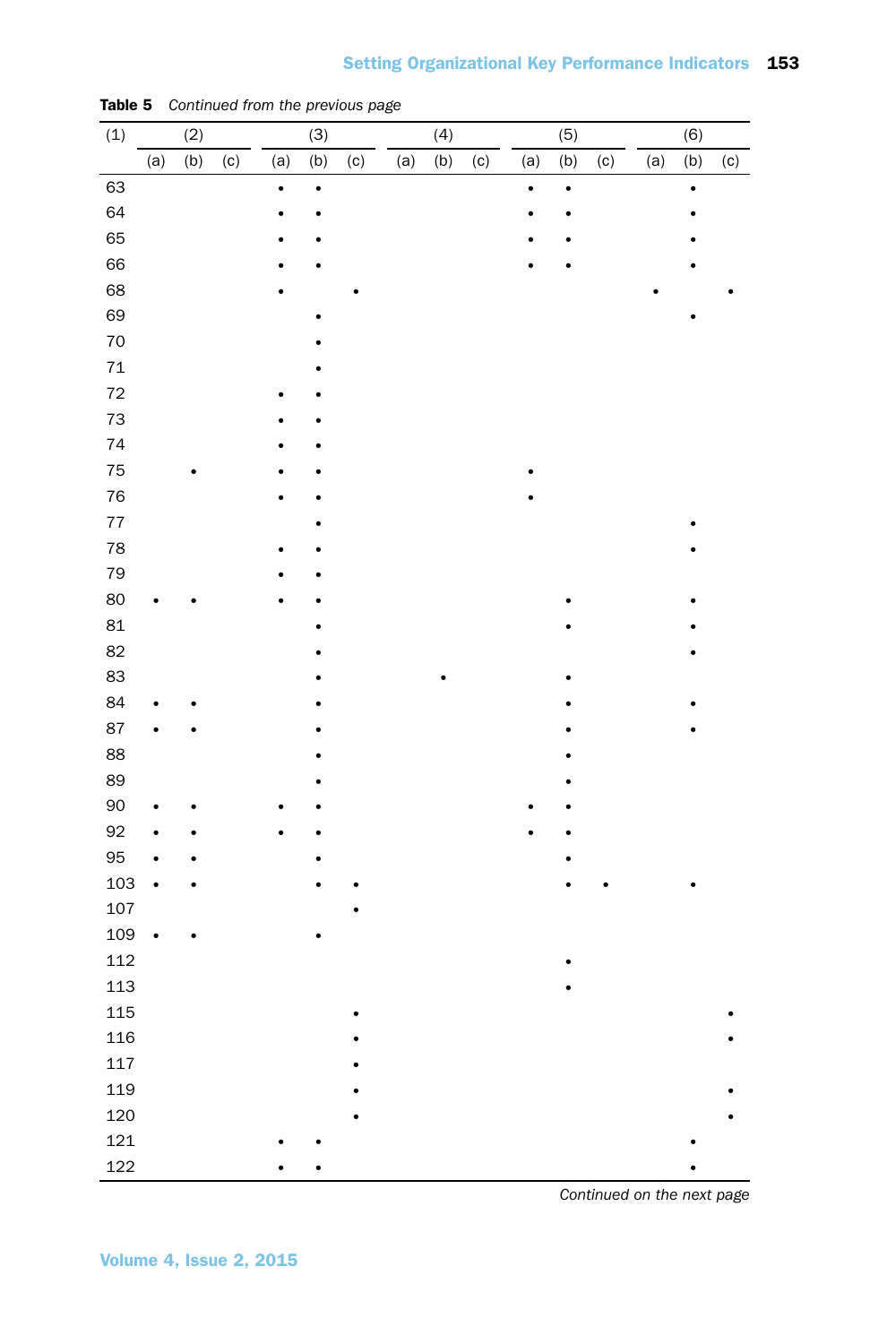| (1)  |           | (2) |     |           | (3)       |     |     | (4) |     |           | (5)       |     |     | (6)       |     |
|------|-----------|-----|-----|-----------|-----------|-----|-----|-----|-----|-----------|-----------|-----|-----|-----------|-----|
|      | (a)       | (b) | (c) | (a)       | (b)       | (c) | (a) | (b) | (c) | (a)       | (b)       | (c) | (a) | (b)       | (c) |
| 63   |           |     |     | $\bullet$ | $\bullet$ |     |     |     |     | $\bullet$ | $\bullet$ |     |     | $\bullet$ |     |
| 64   |           |     |     |           |           |     |     |     |     |           |           |     |     |           |     |
| 65   |           |     |     |           |           |     |     |     |     |           |           |     |     |           |     |
| 66   |           |     |     |           |           |     |     |     |     |           |           |     |     |           |     |
| 68   |           |     |     |           |           |     |     |     |     |           |           |     |     |           |     |
| 69   |           |     |     |           |           |     |     |     |     |           |           |     |     |           |     |
| 70   |           |     |     |           |           |     |     |     |     |           |           |     |     |           |     |
| $71$ |           |     |     |           |           |     |     |     |     |           |           |     |     |           |     |
| 72   |           |     |     |           |           |     |     |     |     |           |           |     |     |           |     |
| 73   |           |     |     |           |           |     |     |     |     |           |           |     |     |           |     |
| 74   |           |     |     |           |           |     |     |     |     |           |           |     |     |           |     |
| 75   |           |     |     |           |           |     |     |     |     |           |           |     |     |           |     |
| 76   |           |     |     |           |           |     |     |     |     |           |           |     |     |           |     |
| 77   |           |     |     |           |           |     |     |     |     |           |           |     |     |           |     |
| 78   |           |     |     |           |           |     |     |     |     |           |           |     |     |           |     |
| 79   |           |     |     |           |           |     |     |     |     |           |           |     |     |           |     |
| 80   |           |     |     |           |           |     |     |     |     |           |           |     |     |           |     |
| 81   |           |     |     |           |           |     |     |     |     |           |           |     |     |           |     |
| 82   |           |     |     |           |           |     |     |     |     |           |           |     |     |           |     |
| 83   |           |     |     |           |           |     |     |     |     |           |           |     |     |           |     |
| 84   |           |     |     |           |           |     |     |     |     |           |           |     |     |           |     |
| 87   |           |     |     |           |           |     |     |     |     |           |           |     |     |           |     |
| 88   |           |     |     |           |           |     |     |     |     |           |           |     |     |           |     |
| 89   |           |     |     |           |           |     |     |     |     |           |           |     |     |           |     |
| 90   |           |     |     |           |           |     |     |     |     |           |           |     |     |           |     |
| 92   |           |     |     |           |           |     |     |     |     |           |           |     |     |           |     |
| 95   |           |     |     |           |           |     |     |     |     |           |           |     |     |           |     |
| 103  | ¢         |     |     |           |           |     |     |     |     |           |           |     |     |           |     |
| 107  |           |     |     |           |           |     |     |     |     |           |           |     |     |           |     |
| 109  | $\bullet$ |     |     |           |           |     |     |     |     |           |           |     |     |           |     |
| 112  |           |     |     |           |           |     |     |     |     |           |           |     |     |           |     |
| 113  |           |     |     |           |           |     |     |     |     |           |           |     |     |           |     |
| 115  |           |     |     |           |           |     |     |     |     |           |           |     |     |           |     |
| 116  |           |     |     |           |           |     |     |     |     |           |           |     |     |           |     |
| 117  |           |     |     |           |           |     |     |     |     |           |           |     |     |           |     |
| 119  |           |     |     |           |           |     |     |     |     |           |           |     |     |           |     |
| 120  |           |     |     |           |           |     |     |     |     |           |           |     |     |           |     |
| 121  |           |     |     |           |           |     |     |     |     |           |           |     |     |           |     |
| 122  |           |     |     |           |           |     |     |     |     |           |           |     |     |           |     |

Table 5 *Continued from the previous page*

*Continued on the next page*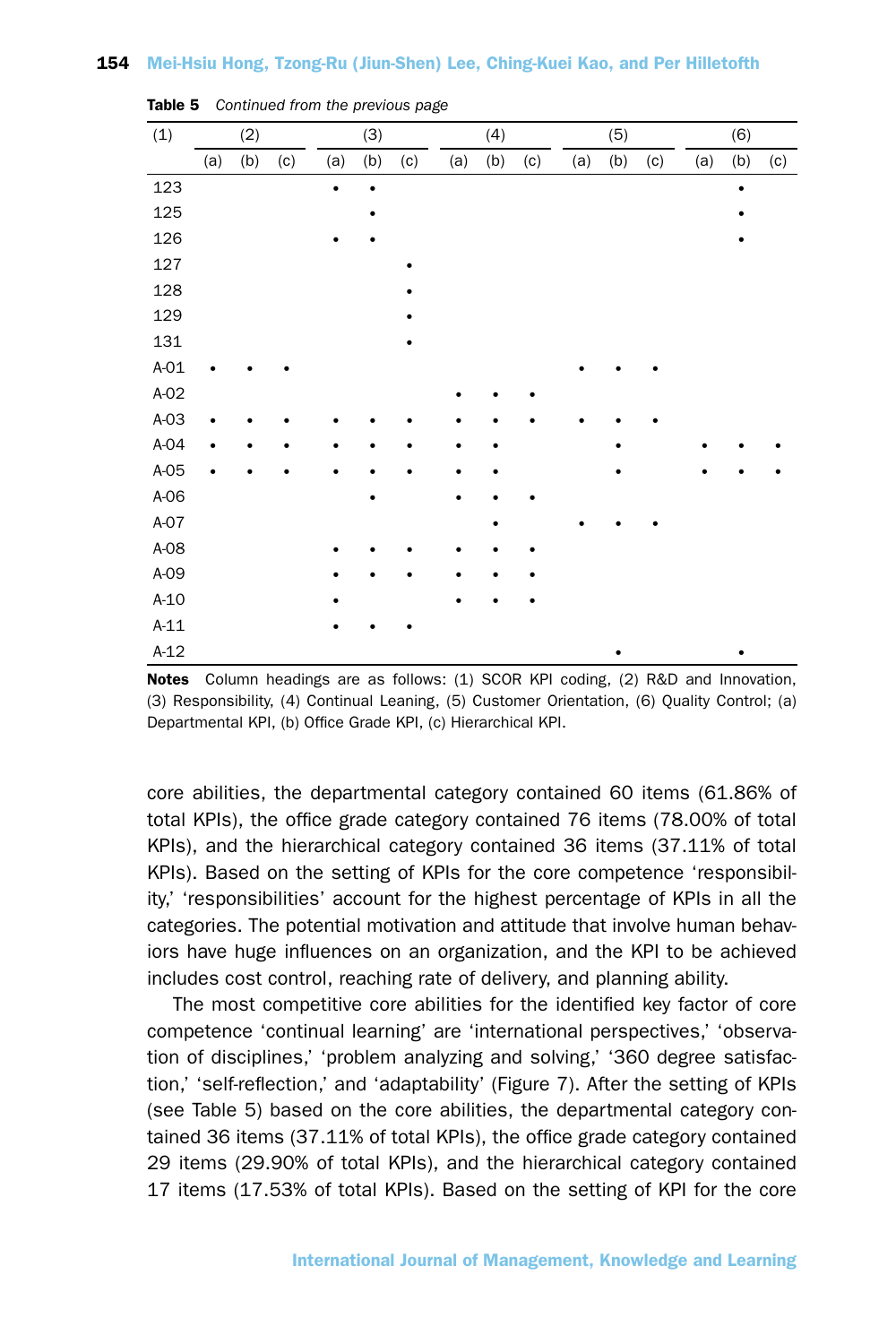| (1)    |     | (2) |     |           | (3) |     |     | (4) |     |     | (5) |     |     | (6) |     |
|--------|-----|-----|-----|-----------|-----|-----|-----|-----|-----|-----|-----|-----|-----|-----|-----|
|        | (a) | (b) | (c) | (a)       | (b) | (c) | (a) | (b) | (c) | (a) | (b) | (c) | (a) | (b) | (c) |
| 123    |     |     |     | $\bullet$ |     |     |     |     |     |     |     |     |     | ٠   |     |
| 125    |     |     |     |           |     |     |     |     |     |     |     |     |     |     |     |
| 126    |     |     |     |           |     |     |     |     |     |     |     |     |     |     |     |
| 127    |     |     |     |           |     |     |     |     |     |     |     |     |     |     |     |
| 128    |     |     |     |           |     |     |     |     |     |     |     |     |     |     |     |
| 129    |     |     |     |           |     |     |     |     |     |     |     |     |     |     |     |
| 131    |     |     |     |           |     |     |     |     |     |     |     |     |     |     |     |
| $A-01$ |     |     |     |           |     |     |     |     |     |     |     |     |     |     |     |
| $A-02$ |     |     |     |           |     |     |     |     |     |     |     |     |     |     |     |
| $A-03$ |     |     |     |           |     |     |     |     |     |     |     |     |     |     |     |
| $A-04$ | ٠   |     |     |           |     |     |     |     |     |     |     |     |     |     |     |
| $A-05$ | ٠   |     |     |           |     |     |     |     |     |     |     |     |     |     |     |
| $A-06$ |     |     |     |           |     |     |     |     |     |     |     |     |     |     |     |
| $A-07$ |     |     |     |           |     |     |     |     |     |     |     |     |     |     |     |
| $A-08$ |     |     |     |           |     |     |     |     |     |     |     |     |     |     |     |
| $A-09$ |     |     |     |           |     |     |     |     |     |     |     |     |     |     |     |
| $A-10$ |     |     |     |           |     |     |     |     |     |     |     |     |     |     |     |
| $A-11$ |     |     |     |           |     |     |     |     |     |     |     |     |     |     |     |
| $A-12$ |     |     |     |           |     |     |     |     |     |     |     |     |     |     |     |

Table 5 *Continued from the previous page*

Notes Column headings are as follows: (1) SCOR KPI coding, (2) R&D and Innovation, (3) Responsibility, (4) Continual Leaning, (5) Customer Orientation, (6) Quality Control; (a) Departmental KPI, (b) Office Grade KPI, (c) Hierarchical KPI.

core abilities, the departmental category contained 60 items (61.86% of total KPIs), the office grade category contained 76 items (78.00% of total KPIs), and the hierarchical category contained 36 items (37.11% of total KPIs). Based on the setting of KPIs for the core competence 'responsibility,' 'responsibilities' account for the highest percentage of KPIs in all the categories. The potential motivation and attitude that involve human behaviors have huge influences on an organization, and the KPI to be achieved includes cost control, reaching rate of delivery, and planning ability.

The most competitive core abilities for the identified key factor of core competence 'continual learning' are 'international perspectives,' 'observation of disciplines,' 'problem analyzing and solving,' '360 degree satisfaction,' 'self-reflection,' and 'adaptability' (Figure 7). After the setting of KPIs (see Table 5) based on the core abilities, the departmental category contained 36 items (37.11% of total KPIs), the office grade category contained 29 items (29.90% of total KPIs), and the hierarchical category contained 17 items (17.53% of total KPIs). Based on the setting of KPI for the core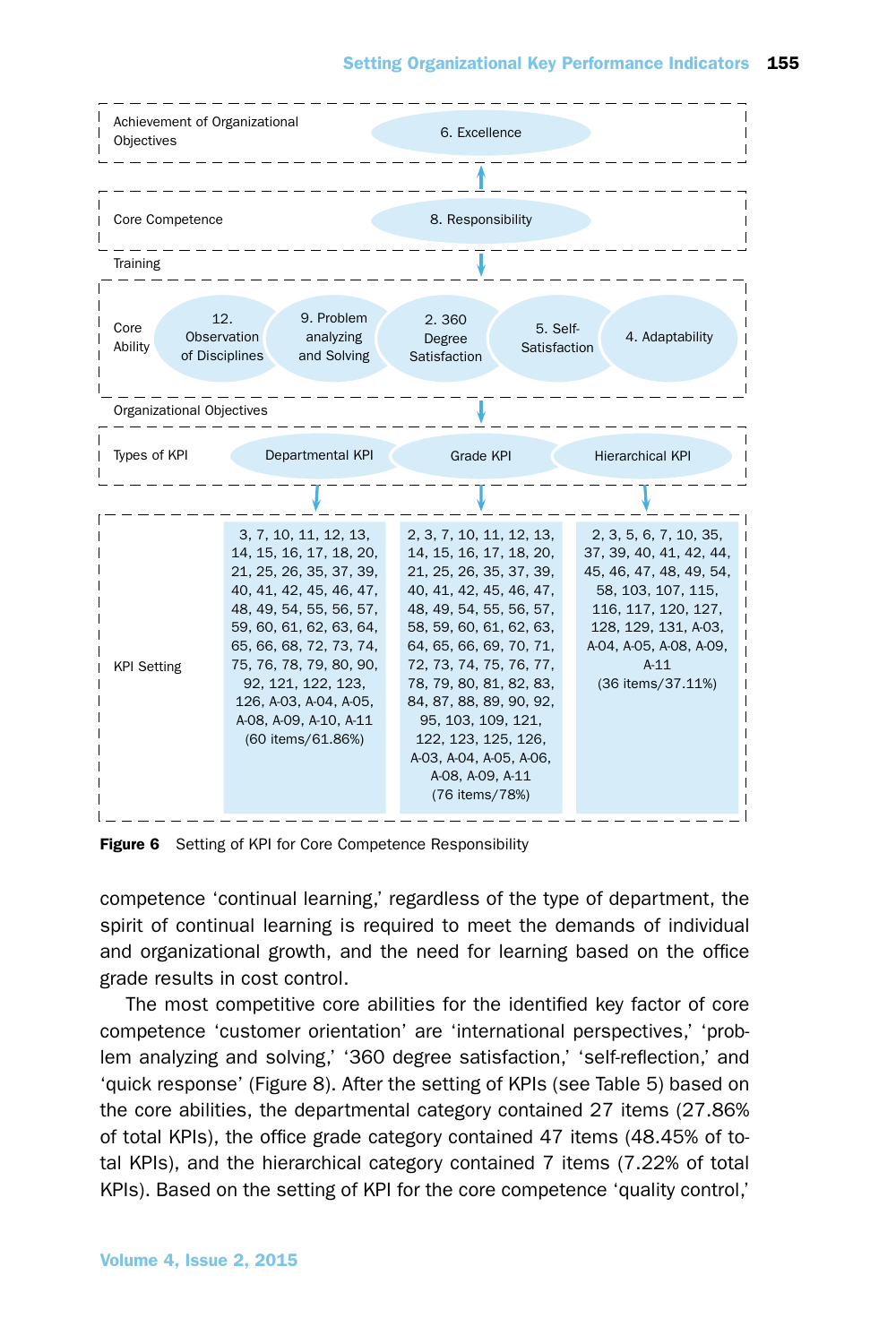

Figure 6 Setting of KPI for Core Competence Responsibility

competence 'continual learning,' regardless of the type of department, the spirit of continual learning is required to meet the demands of individual and organizational growth, and the need for learning based on the office grade results in cost control.

The most competitive core abilities for the identified key factor of core competence 'customer orientation' are 'international perspectives,' 'problem analyzing and solving,' '360 degree satisfaction,' 'self-reflection,' and 'quick response' (Figure 8). After the setting of KPIs (see Table 5) based on the core abilities, the departmental category contained 27 items (27.86% of total KPIs), the office grade category contained 47 items (48.45% of total KPIs), and the hierarchical category contained 7 items (7.22% of total KPIs). Based on the setting of KPI for the core competence 'quality control,'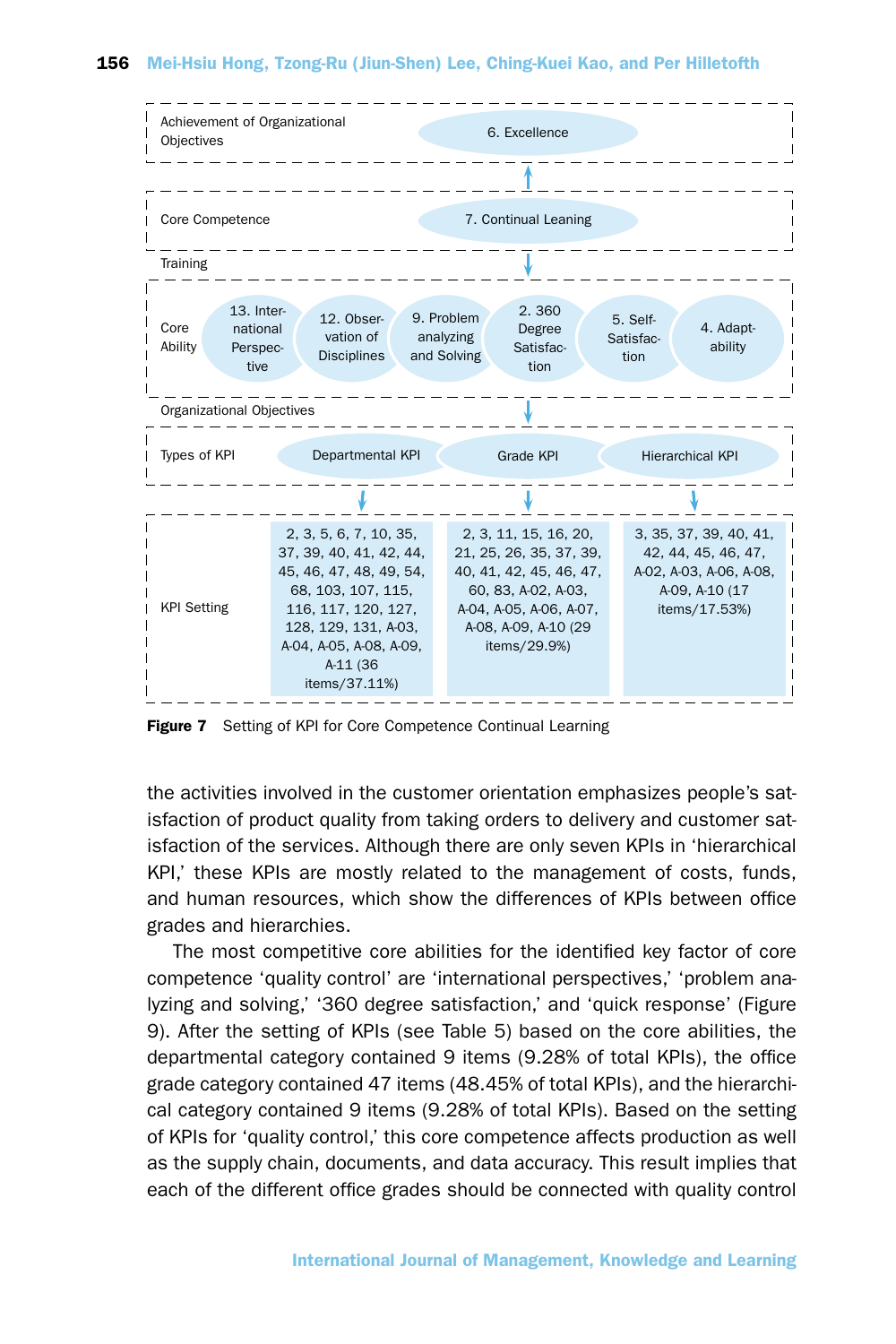

Figure 7 Setting of KPI for Core Competence Continual Learning

the activities involved in the customer orientation emphasizes people's satisfaction of product quality from taking orders to delivery and customer satisfaction of the services. Although there are only seven KPIs in 'hierarchical KPI,' these KPIs are mostly related to the management of costs, funds, and human resources, which show the differences of KPIs between office grades and hierarchies.

The most competitive core abilities for the identified key factor of core competence 'quality control' are 'international perspectives,' 'problem analyzing and solving,' '360 degree satisfaction,' and 'quick response' (Figure 9). After the setting of KPIs (see Table 5) based on the core abilities, the departmental category contained 9 items (9.28% of total KPIs), the office grade category contained 47 items (48.45% of total KPIs), and the hierarchical category contained 9 items (9.28% of total KPIs). Based on the setting of KPIs for 'quality control,' this core competence affects production as well as the supply chain, documents, and data accuracy. This result implies that each of the different office grades should be connected with quality control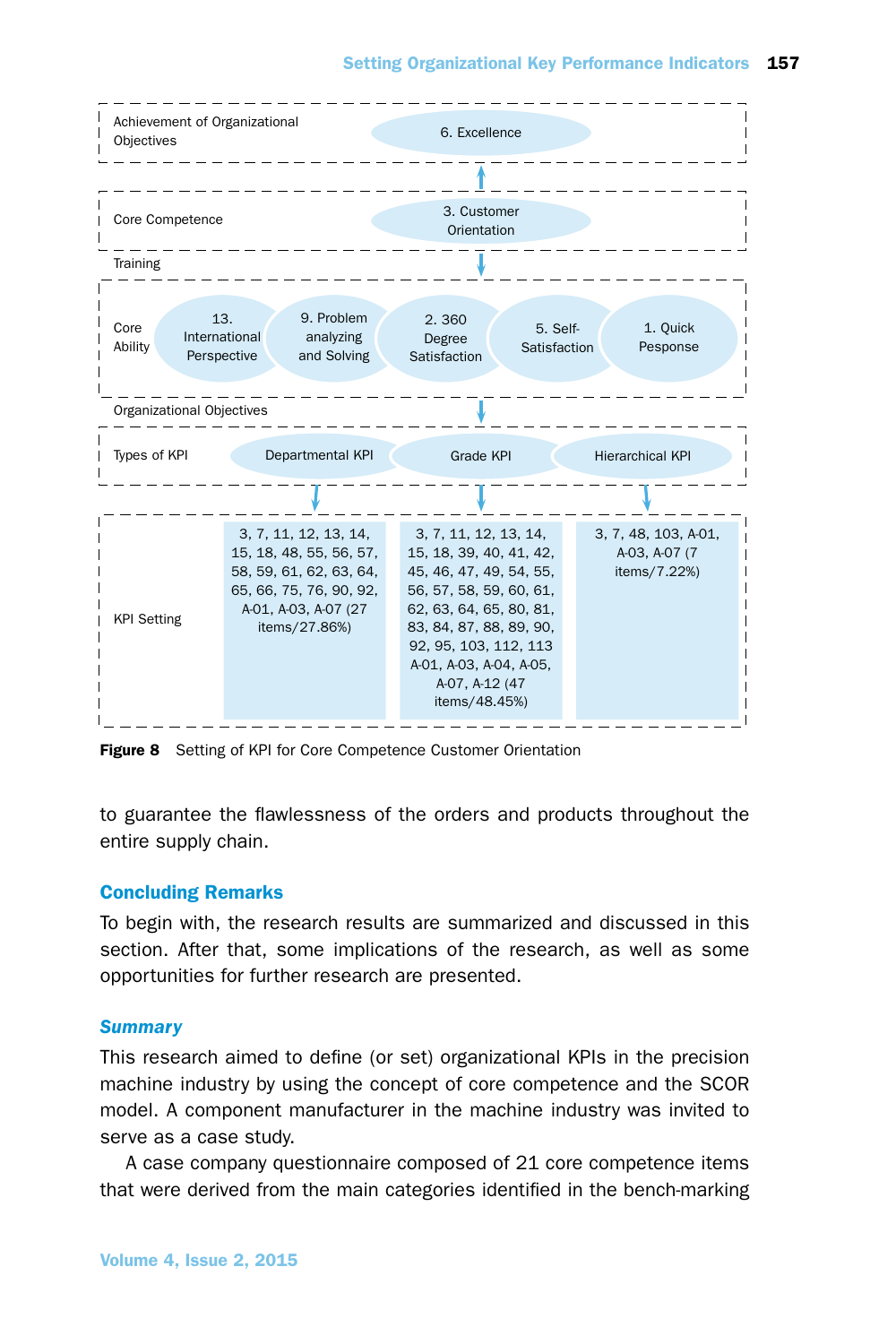

Figure 8 Setting of KPI for Core Competence Customer Orientation

to guarantee the flawlessness of the orders and products throughout the entire supply chain.

## Concluding Remarks

To begin with, the research results are summarized and discussed in this section. After that, some implications of the research, as well as some opportunities for further research are presented.

## *Summary*

This research aimed to define (or set) organizational KPIs in the precision machine industry by using the concept of core competence and the SCOR model. A component manufacturer in the machine industry was invited to serve as a case study.

A case company questionnaire composed of 21 core competence items that were derived from the main categories identified in the bench-marking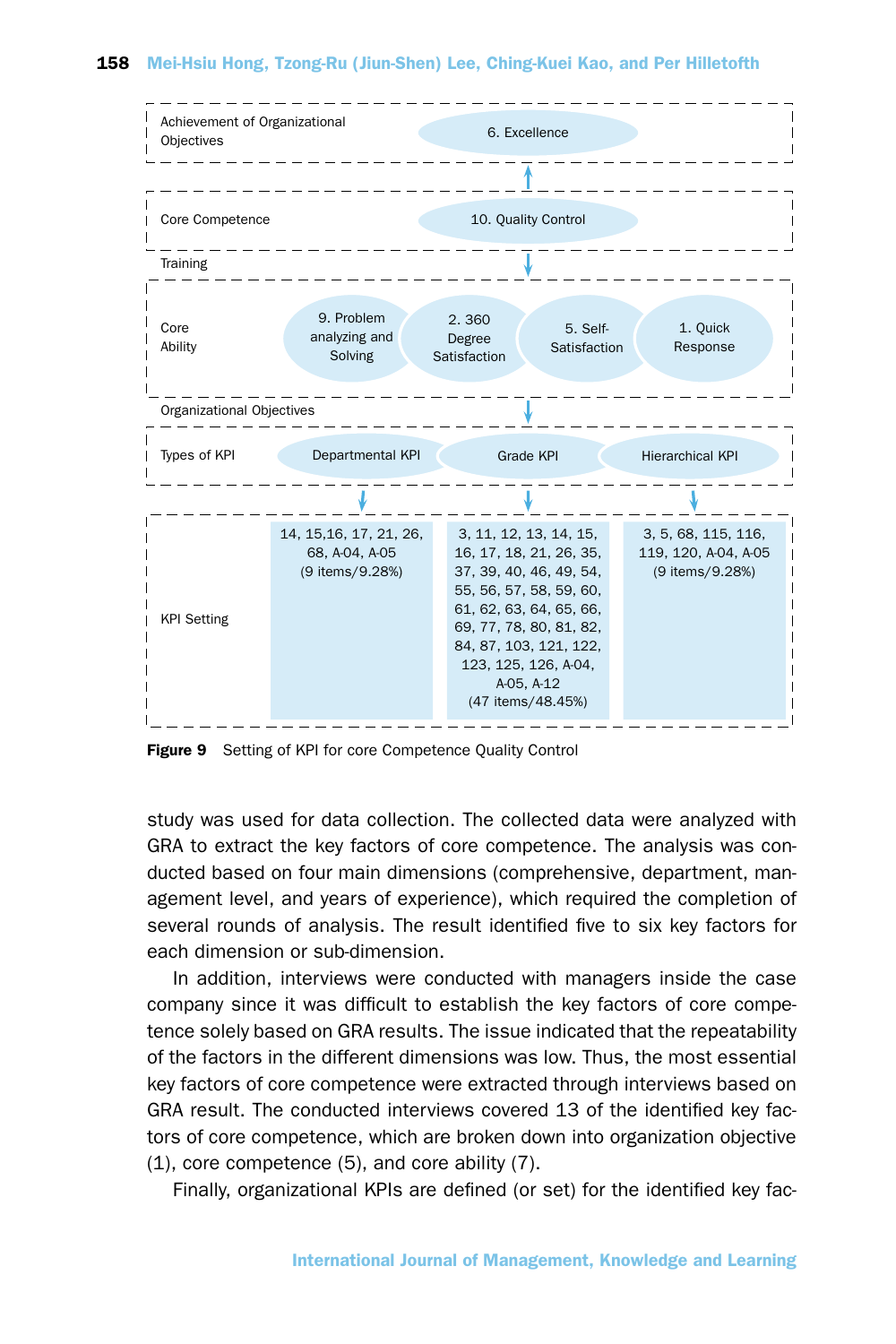

Figure 9 Setting of KPI for core Competence Quality Control

study was used for data collection. The collected data were analyzed with GRA to extract the key factors of core competence. The analysis was conducted based on four main dimensions (comprehensive, department, management level, and years of experience), which required the completion of several rounds of analysis. The result identified five to six key factors for each dimension or sub-dimension.

In addition, interviews were conducted with managers inside the case company since it was difficult to establish the key factors of core competence solely based on GRA results. The issue indicated that the repeatability of the factors in the different dimensions was low. Thus, the most essential key factors of core competence were extracted through interviews based on GRA result. The conducted interviews covered 13 of the identified key factors of core competence, which are broken down into organization objective (1), core competence (5), and core ability (7).

Finally, organizational KPIs are defined (or set) for the identified key fac-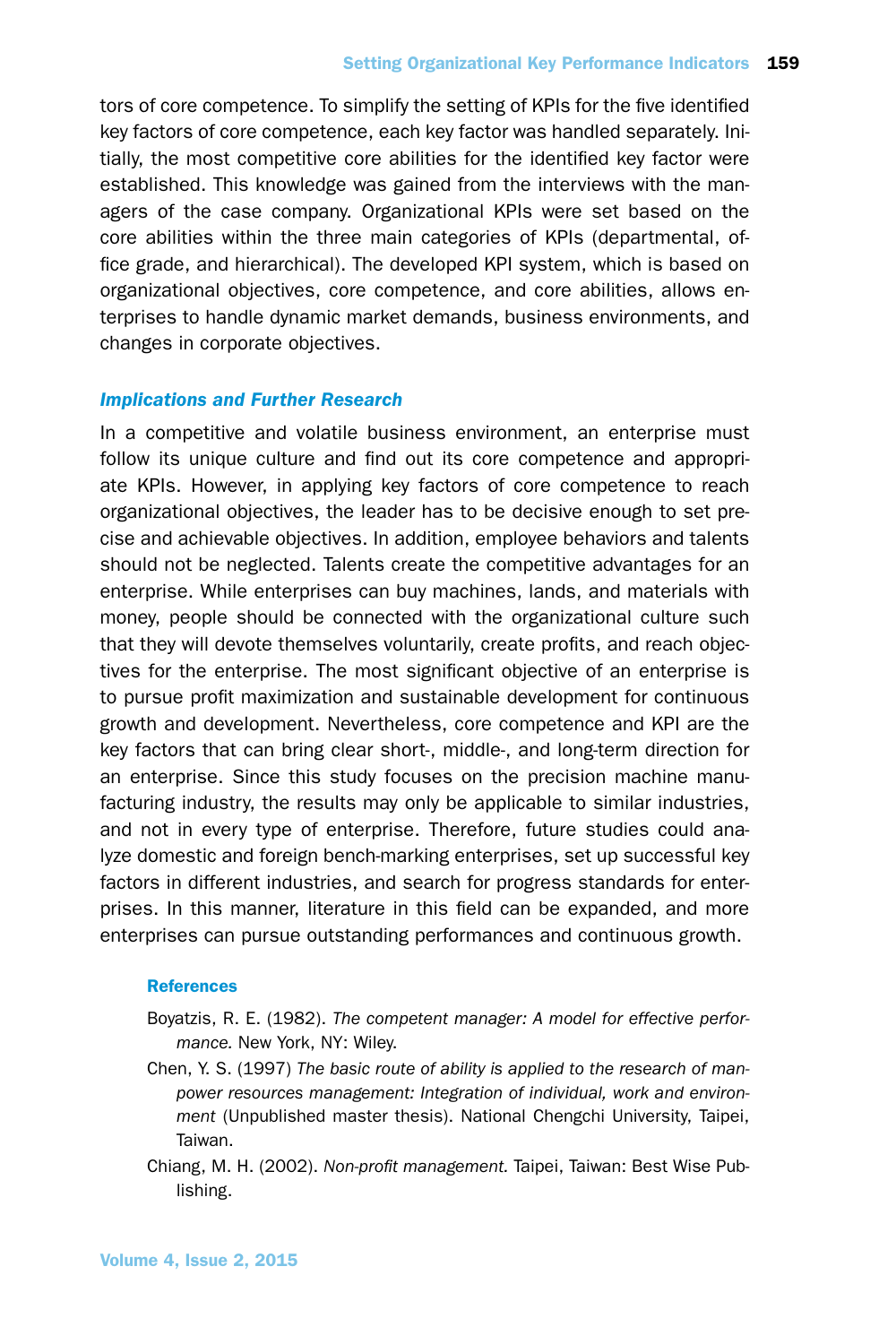tors of core competence. To simplify the setting of KPIs for the five identified key factors of core competence, each key factor was handled separately. Initially, the most competitive core abilities for the identified key factor were established. This knowledge was gained from the interviews with the managers of the case company. Organizational KPIs were set based on the core abilities within the three main categories of KPIs (departmental, office grade, and hierarchical). The developed KPI system, which is based on organizational objectives, core competence, and core abilities, allows enterprises to handle dynamic market demands, business environments, and changes in corporate objectives.

# *Implications and Further Research*

In a competitive and volatile business environment, an enterprise must follow its unique culture and find out its core competence and appropriate KPIs. However, in applying key factors of core competence to reach organizational objectives, the leader has to be decisive enough to set precise and achievable objectives. In addition, employee behaviors and talents should not be neglected. Talents create the competitive advantages for an enterprise. While enterprises can buy machines, lands, and materials with money, people should be connected with the organizational culture such that they will devote themselves voluntarily, create profits, and reach objectives for the enterprise. The most significant objective of an enterprise is to pursue profit maximization and sustainable development for continuous growth and development. Nevertheless, core competence and KPI are the key factors that can bring clear short-, middle-, and long-term direction for an enterprise. Since this study focuses on the precision machine manufacturing industry, the results may only be applicable to similar industries, and not in every type of enterprise. Therefore, future studies could analyze domestic and foreign bench-marking enterprises, set up successful key factors in different industries, and search for progress standards for enterprises. In this manner, literature in this field can be expanded, and more enterprises can pursue outstanding performances and continuous growth.

## **References**

- Boyatzis, R. E. (1982). *The competent manager: A model for effective performance.* New York, NY: Wiley.
- Chen, Y. S. (1997) *The basic route of ability is applied to the research of manpower resources management: Integration of individual, work and environment* (Unpublished master thesis). National Chengchi University, Taipei, Taiwan.
- Chiang, M. H. (2002). *Non-profit management.* Taipei, Taiwan: Best Wise Publishing.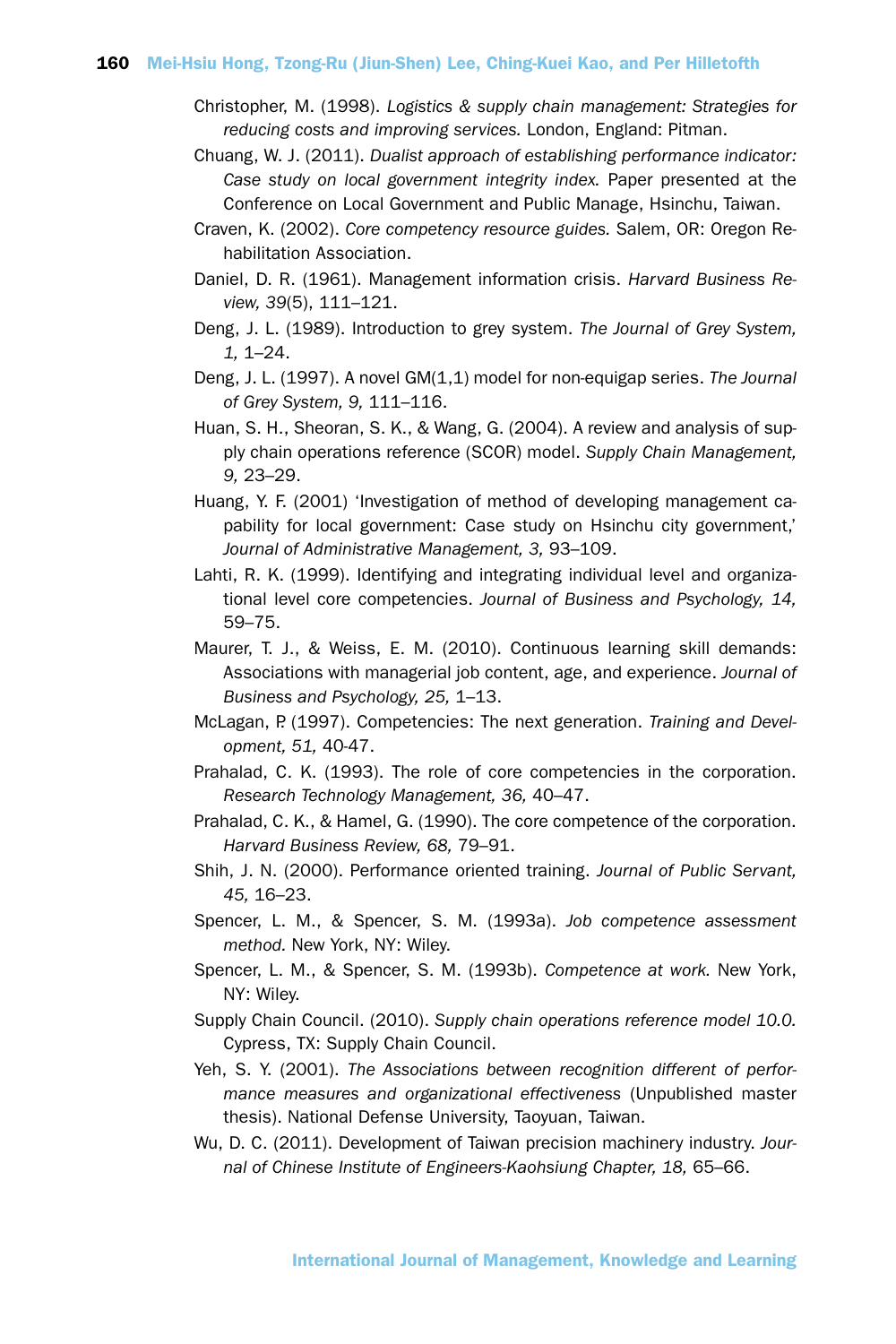- Christopher, M. (1998). *Logistics & supply chain management: Strategies for reducing costs and improving services.* London, England: Pitman.
- Chuang, W. J. (2011). *Dualist approach of establishing performance indicator: Case study on local government integrity index.* Paper presented at the Conference on Local Government and Public Manage, Hsinchu, Taiwan.
- Craven, K. (2002). *Core competency resource guides.* Salem, OR: Oregon Rehabilitation Association.
- Daniel, D. R. (1961). Management information crisis. *Harvard Business Review, 39*(5), 111–121.
- Deng, J. L. (1989). Introduction to grey system. *The Journal of Grey System, 1,* 1–24.
- Deng, J. L. (1997). A novel GM(1,1) model for non-equigap series. *The Journal of Grey System, 9,* 111–116.
- Huan, S. H., Sheoran, S. K., & Wang, G. (2004). A review and analysis of supply chain operations reference (SCOR) model. *Supply Chain Management, 9,* 23–29.
- Huang, Y. F. (2001) 'Investigation of method of developing management capability for local government: Case study on Hsinchu city government,' *Journal of Administrative Management, 3,* 93–109.
- Lahti, R. K. (1999). Identifying and integrating individual level and organizational level core competencies. *Journal of Business and Psychology, 14,* 59–75.
- Maurer, T. J., & Weiss, E. M. (2010). Continuous learning skill demands: Associations with managerial job content, age, and experience. *Journal of Business and Psychology, 25,* 1–13.
- McLagan, P. (1997). Competencies: The next generation. *Training and Development, 51,* 40-47.
- Prahalad, C. K. (1993). The role of core competencies in the corporation. *Research Technology Management, 36,* 40–47.
- Prahalad, C. K., & Hamel, G. (1990). The core competence of the corporation. *Harvard Business Review, 68,* 79–91.
- Shih, J. N. (2000). Performance oriented training. *Journal of Public Servant, 45,* 16–23.
- Spencer, L. M., & Spencer, S. M. (1993a). *Job competence assessment method.* New York, NY: Wiley.
- Spencer, L. M., & Spencer, S. M. (1993b). *Competence at work.* New York, NY: Wiley.
- Supply Chain Council. (2010). *Supply chain operations reference model 10.0.* Cypress, TX: Supply Chain Council.
- Yeh, S. Y. (2001). *The Associations between recognition different of performance measures and organizational effectiveness* (Unpublished master thesis). National Defense University, Taoyuan, Taiwan.
- Wu, D. C. (2011). Development of Taiwan precision machinery industry. *Journal of Chinese Institute of Engineers-Kaohsiung Chapter, 18,* 65–66.